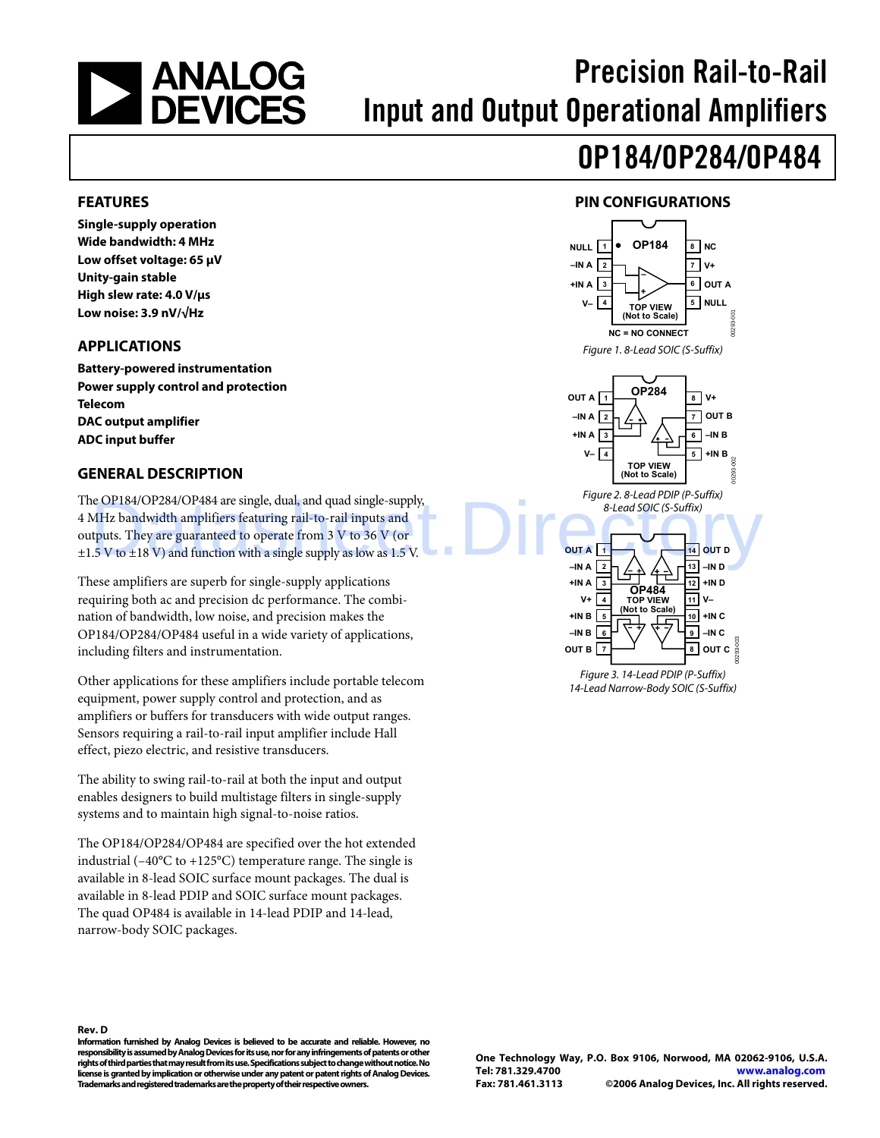<span id="page-0-0"></span>

# Precision Rail-to-Rail Input and Output Operational Amplifiers

# OP184/OP284/OP484

#### **FEATURES**

**Single-supply operation Wide bandwidth: 4 MHz Low offset voltage: 65 μV Unity-gain stable High slew rate: 4.0 V/μs Low noise: 3.9 nV/√Hz** 

#### **APPLICATIONS**

**Battery-powered instrumentation Power supply control and protection Telecom DAC output amplifier ADC input buffer** 

#### **GENERAL DESCRIPTION**

The OP184/OP284/OP484 are single, dual, and quad single-supply, 4 MHz bandwidth amplifiers featuring rail-to-rail inputs and outputs. They are guaranteed to operate from 3 V to 36 V (or  $\pm$ 1.5 V to  $\pm$ 18 V) and function with a single supply as low as 1.5 V. e OP184/OP284/OP484 are single, dual, and quad single-supply,<br>
MHz bandwidth amplifiers featuring rail-to-rail inputs and<br>
thuts. They are guaranteed to operate from 3 V to 36 V (or<br>
.5 V to ±18 V) and function with a sin

These amplifiers are superb for single-supply applications requiring both ac and precision dc performance. The combination of bandwidth, low noise, and precision makes the OP184/OP284/OP484 useful in a wide variety of applications, including filters and instrumentation.

Other applications for these amplifiers include portable telecom equipment, power supply control and protection, and as amplifiers or buffers for transducers with wide output ranges. Sensors requiring a rail-to-rail input amplifier include Hall effect, piezo electric, and resistive transducers.

The ability to swing rail-to-rail at both the input and output enables designers to build multistage filters in single-supply systems and to maintain high signal-to-noise ratios.

The OP184/OP284/OP484 are specified over the hot extended industrial ( $-40^{\circ}$ C to  $+125^{\circ}$ C) temperature range. The single is available in 8-lead SOIC surface mount packages. The dual is available in 8-lead PDIP and SOIC surface mount packages. The quad OP484 is available in 14-lead PDIP and 14-lead, narrow-body SOIC packages.





14-Lead Narrow-Body SOIC (S-Suffix)

**Rev. D** 

**Information furnished by Analog Devices is believed to be accurate and reliable. However, no responsibility is assumed by Analog Devices for its use, nor for any infringements of patents or other rights of third parties that may result from its use. Specifications subject to change without notice. No license is granted by implication or otherwise under any patent or patent rights of Analog Devices. Trademarks and registered trademarks are the property of their respective owners.**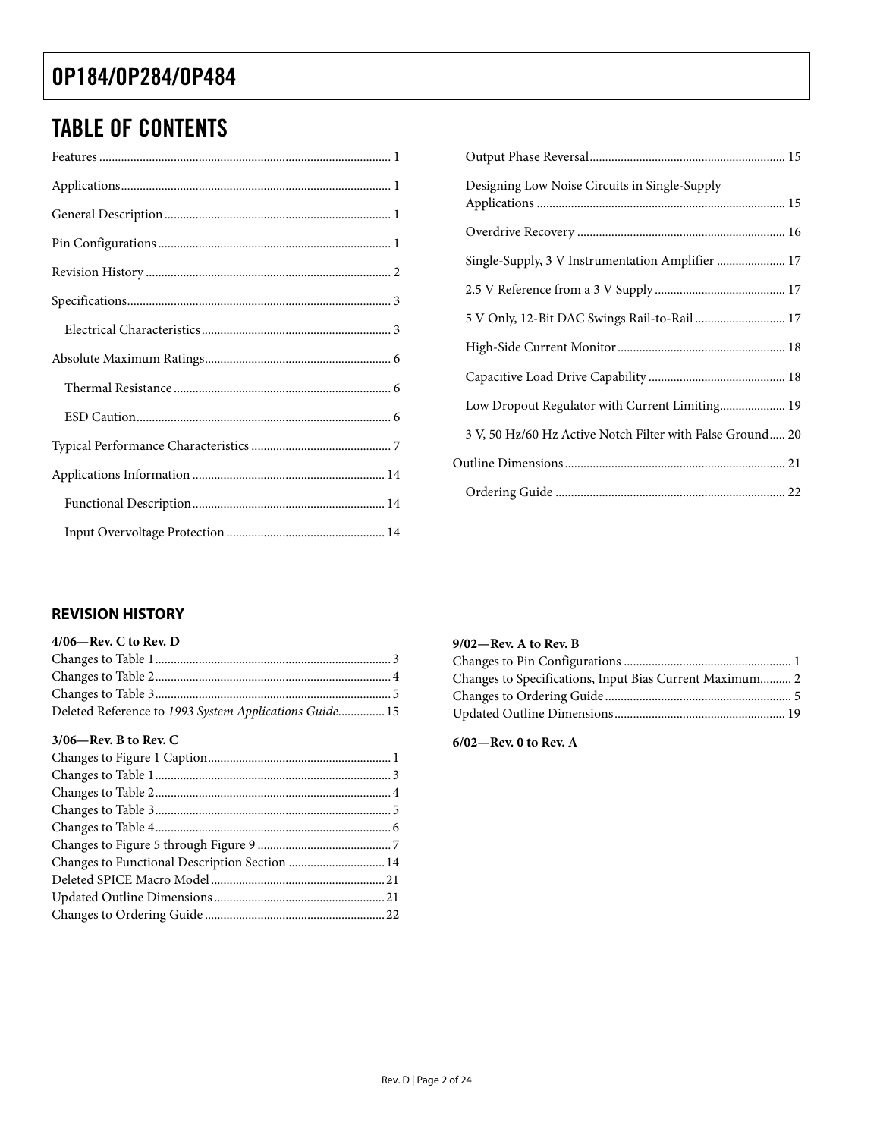### <span id="page-1-0"></span>TABLE OF CONTENTS

| Designing Low Noise Circuits in Single-Supply             |  |
|-----------------------------------------------------------|--|
|                                                           |  |
|                                                           |  |
|                                                           |  |
| 5 V Only, 12-Bit DAC Swings Rail-to-Rail  17              |  |
|                                                           |  |
|                                                           |  |
|                                                           |  |
| 3 V, 50 Hz/60 Hz Active Notch Filter with False Ground 20 |  |
|                                                           |  |
|                                                           |  |

#### **REVISION HISTORY**

| $4/06$ —Rev. C to Rev. D                               |  |
|--------------------------------------------------------|--|
|                                                        |  |
|                                                        |  |
|                                                        |  |
| Deleted Reference to 1993 System Applications Guide 15 |  |

#### **3/06—Rev. B to Rev. C**

#### **9/02—Rev. A to Rev. B**

| Changes to Specifications, Input Bias Current Maximum 2 |  |
|---------------------------------------------------------|--|
|                                                         |  |
|                                                         |  |

**6/02—Rev. 0 to Rev. A**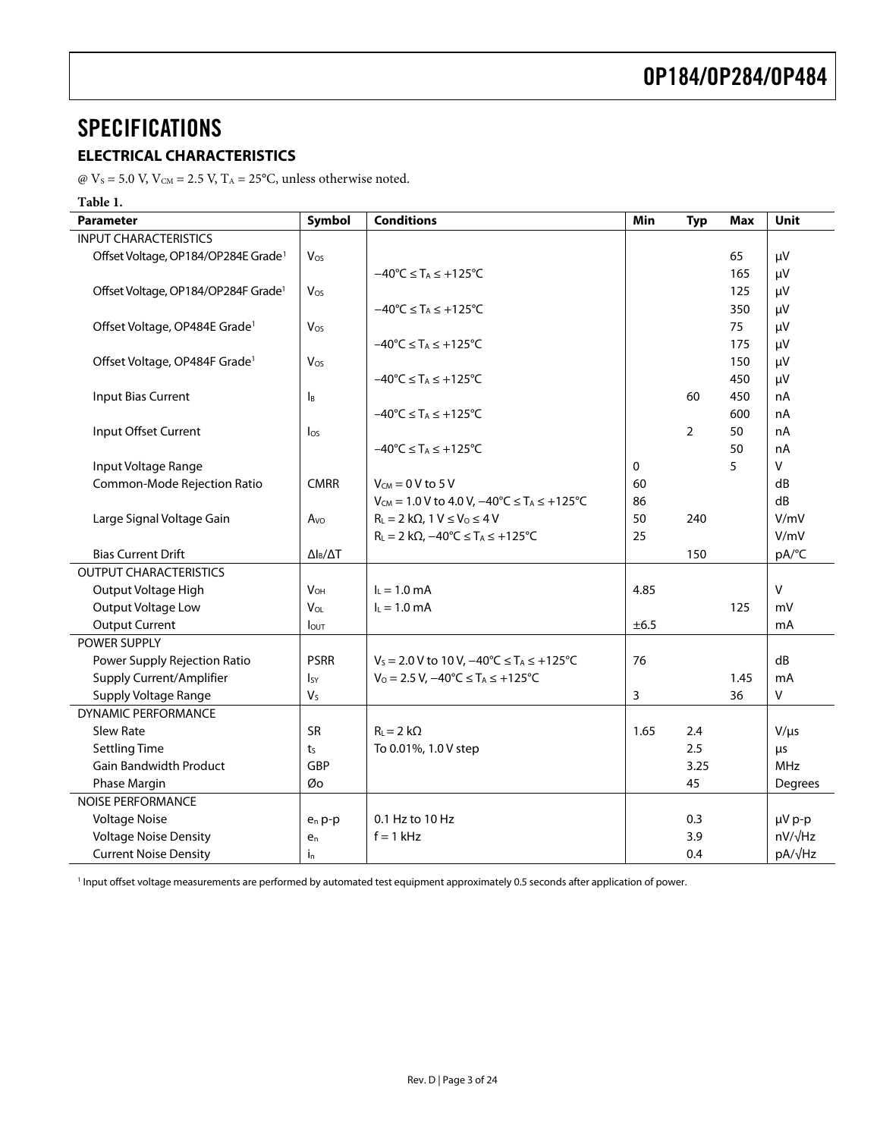### <span id="page-2-0"></span>**SPECIFICATIONS**

#### **ELECTRICAL CHARACTERISTICS**

@  $V_s$  = 5.0 V,  $V_{CM}$  = 2.5 V,  $T_A$  = 25°C, unless otherwise noted.

#### **Table 1.**

<span id="page-2-1"></span>

| <b>Parameter</b>                                | Symbol                    | <b>Conditions</b>                                                          | Min          | <b>Typ</b> | <b>Max</b> | <b>Unit</b>    |
|-------------------------------------------------|---------------------------|----------------------------------------------------------------------------|--------------|------------|------------|----------------|
| <b>INPUT CHARACTERISTICS</b>                    |                           |                                                                            |              |            |            |                |
| Offset Voltage, OP184/OP284E Grade <sup>1</sup> | Vos                       |                                                                            |              |            | 65         | μV             |
|                                                 |                           | $-40^{\circ}C \leq T_A \leq +125^{\circ}C$                                 |              |            | 165        | μV             |
| Offset Voltage, OP184/OP284F Grade <sup>1</sup> | $V_{OS}$                  |                                                                            |              |            | 125        | μV             |
|                                                 |                           | $-40^{\circ}$ C $\leq$ T <sub>A</sub> $\leq$ +125 $^{\circ}$ C             |              |            | 350        | μV             |
| Offset Voltage, OP484E Grade <sup>1</sup>       | Vos                       |                                                                            |              |            | 75         | μV             |
|                                                 |                           | $-40^{\circ}C \leq T_A \leq +125^{\circ}C$                                 |              |            | 175        | μV             |
| Offset Voltage, OP484F Grade <sup>1</sup>       | $V_{OS}$                  |                                                                            |              |            | 150        | μV             |
|                                                 |                           | $-40^{\circ}$ C $\leq$ T <sub>A</sub> $\leq$ +125 $^{\circ}$ C             |              |            | 450        | μV             |
| Input Bias Current                              | $\mathsf{I}_{\mathsf{B}}$ |                                                                            |              | 60         | 450        | nA             |
|                                                 |                           | $-40^{\circ}C \leq T_A \leq +125^{\circ}C$                                 |              |            | 600        | nA             |
| Input Offset Current                            | $\log$                    |                                                                            |              | 2          | 50         | nA             |
|                                                 |                           | $-40^{\circ}C \leq T_A \leq +125^{\circ}C$                                 |              |            | 50         | nA             |
| Input Voltage Range                             |                           |                                                                            | $\mathbf{0}$ |            | 5          | V              |
| Common-Mode Rejection Ratio                     | <b>CMRR</b>               | $V_{CM} = 0 V$ to 5 V                                                      | 60           |            |            | dB             |
|                                                 |                           | $V_{\text{CM}} = 1.0 V$ to 4.0 V, $-40^{\circ}C \le T_A \le +125^{\circ}C$ | 86           |            |            | dB             |
| Large Signal Voltage Gain                       | A <sub>VO</sub>           | $R_L = 2 k\Omega$ , $1 V \le V_0 \le 4 V$                                  | 50           | 240        |            | V/mV           |
|                                                 |                           | $R_L = 2 k\Omega$ , $-40^{\circ}C \leq T_A \leq +125^{\circ}C$             | 25           |            |            | V/mV           |
| <b>Bias Current Drift</b>                       | $\Delta I_B/\Delta T$     |                                                                            |              | 150        |            | pA/°C          |
| <b>OUTPUT CHARACTERISTICS</b>                   |                           |                                                                            |              |            |            |                |
| Output Voltage High                             | $V_{OH}$                  | $I_L = 1.0$ mA                                                             | 4.85         |            |            | V              |
| Output Voltage Low                              | VOL                       | $I_L = 1.0$ mA                                                             |              |            | 125        | mV             |
| <b>Output Current</b>                           | lout                      |                                                                            | ±6.5         |            |            | mA             |
| POWER SUPPLY                                    |                           |                                                                            |              |            |            |                |
| Power Supply Rejection Ratio                    | <b>PSRR</b>               | $V_s = 2.0 V$ to 10 V, $-40^{\circ}C \le T_A \le +125^{\circ}C$            | 76           |            |            | dB             |
| Supply Current/Amplifier                        | $I_{SY}$                  | $V_0 = 2.5 V$ , $-40^{\circ}C \le T_A \le +125^{\circ}C$                   |              |            | 1.45       | mA             |
| Supply Voltage Range                            | V <sub>S</sub>            |                                                                            | 3            |            | 36         | $\mathsf{V}$   |
| <b>DYNAMIC PERFORMANCE</b>                      |                           |                                                                            |              |            |            |                |
| Slew Rate                                       | SR                        | $R_{L} = 2 k\Omega$                                                        | 1.65         | 2.4        |            | $V/\mu s$      |
| <b>Settling Time</b>                            | t <sub>S</sub>            | To 0.01%, 1.0 V step                                                       |              | 2.5        |            | μs             |
| <b>Gain Bandwidth Product</b>                   | GBP                       |                                                                            |              | 3.25       |            | <b>MHz</b>     |
| Phase Margin                                    | Øo                        |                                                                            |              | 45         |            | Degrees        |
| <b>NOISE PERFORMANCE</b>                        |                           |                                                                            |              |            |            |                |
| <b>Voltage Noise</b>                            | $e_n$ p-p                 | 0.1 Hz to 10 Hz                                                            |              | 0.3        |            | µV p-p         |
| <b>Voltage Noise Density</b>                    | $e_n$                     | $f = 1$ kHz                                                                |              | 3.9        |            | $nV/\sqrt{Hz}$ |
| <b>Current Noise Density</b>                    | $i_{n}$                   |                                                                            |              | 0.4        |            | pA/√Hz         |

<span id="page-2-2"></span>1 Input offset voltage measurements are performed by automated test equipment approximately 0.5 seconds after application of power.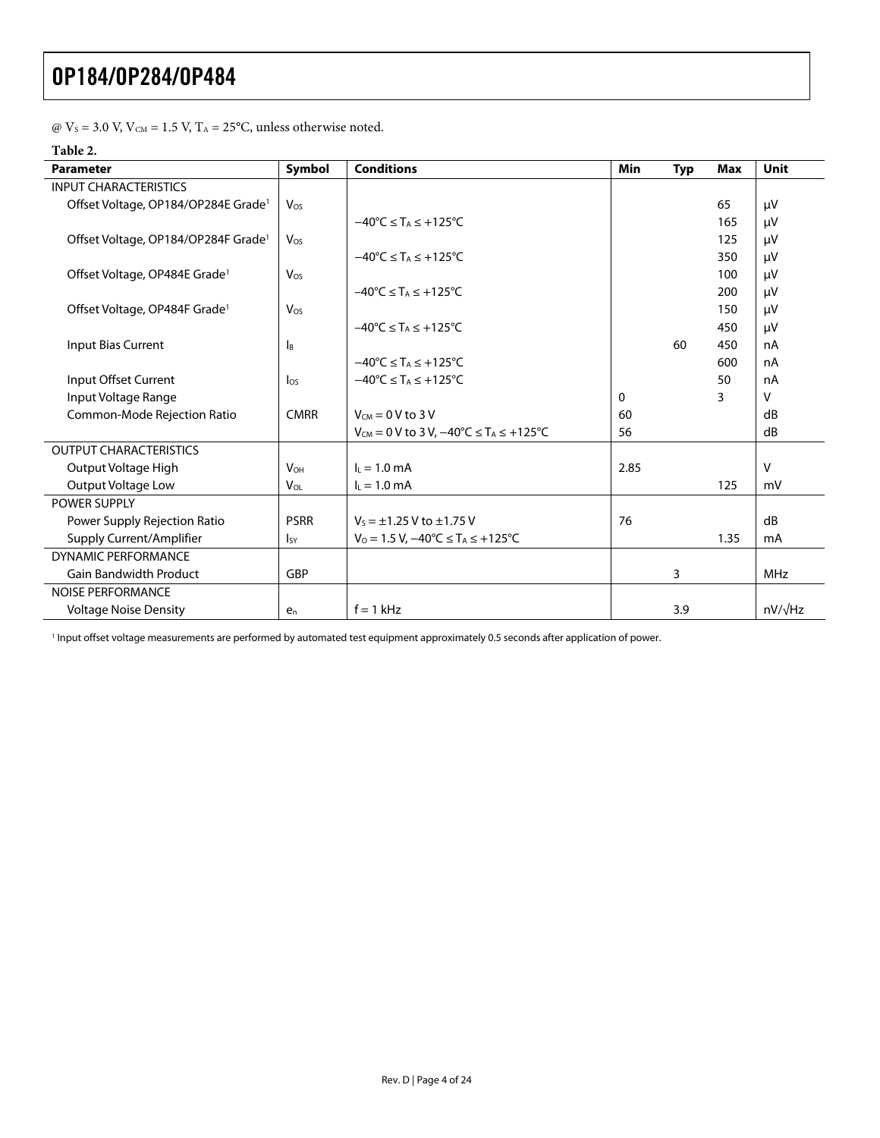|  |  |  |  |  |  |  |  | $\omega$ V <sub>s</sub> = 3.0 V, V <sub>CM</sub> = 1.5 V, T <sub>A</sub> = 25°C, unless otherwise noted. |  |
|--|--|--|--|--|--|--|--|----------------------------------------------------------------------------------------------------------|--|
|--|--|--|--|--|--|--|--|----------------------------------------------------------------------------------------------------------|--|

#### **Table 2.**

| <b>Parameter</b>                                | Symbol                 | <b>Conditions</b>                                               | <b>Min</b> | <b>Typ</b> | <b>Max</b> | <b>Unit</b>    |
|-------------------------------------------------|------------------------|-----------------------------------------------------------------|------------|------------|------------|----------------|
| <b>INPUT CHARACTERISTICS</b>                    |                        |                                                                 |            |            |            |                |
| Offset Voltage, OP184/OP284E Grade <sup>1</sup> | Vos                    |                                                                 |            |            | 65         | μV             |
|                                                 |                        | $-40^{\circ}$ C $\leq$ T <sub>A</sub> $\leq$ +125°C             |            |            | 165        | μV             |
| Offset Voltage, OP184/OP284F Grade <sup>1</sup> | Vos                    |                                                                 |            |            | 125        | μV             |
|                                                 |                        | $-40^{\circ}$ C $\leq$ T <sub>A</sub> $\leq$ +125 $^{\circ}$ C  |            |            | 350        | μV             |
| Offset Voltage, OP484E Grade <sup>1</sup>       | Vos                    |                                                                 |            |            | 100        | μV             |
|                                                 |                        | $-40^{\circ}C \leq T_A \leq +125^{\circ}C$                      |            |            | 200        | μV             |
| Offset Voltage, OP484F Grade <sup>1</sup>       | Vos                    |                                                                 |            |            | 150        | μV             |
|                                                 |                        | $-40^{\circ}$ C $\leq$ T <sub>A</sub> $\leq$ +125 $^{\circ}$ C  |            |            | 450        | μV             |
| Input Bias Current                              | Iв                     |                                                                 |            | 60         | 450        | nA             |
|                                                 |                        | $-40^{\circ}$ C $\leq$ T <sub>A</sub> $\leq$ +125°C             |            |            | 600        | nA             |
| Input Offset Current                            | $\log$                 | $-40^{\circ}$ C $\leq$ T <sub>A</sub> $\leq$ +125°C             |            |            | 50         | nA             |
| Input Voltage Range                             |                        |                                                                 | 0          |            | 3          | v              |
| Common-Mode Rejection Ratio                     | <b>CMRR</b>            | $V_{CM} = 0 V$ to 3 V                                           | 60         |            |            | dB             |
|                                                 |                        | $V_{CM} = 0$ V to 3 V, $-40^{\circ}C \le T_A \le +125^{\circ}C$ | 56         |            |            | dB             |
| <b>OUTPUT CHARACTERISTICS</b>                   |                        |                                                                 |            |            |            |                |
| Output Voltage High                             | <b>V<sub>OH</sub></b>  | $I_L = 1.0$ mA                                                  | 2.85       |            |            | V              |
| <b>Output Voltage Low</b>                       | $V_{OL}$               | $I_L = 1.0$ mA                                                  |            |            | 125        | mV             |
| <b>POWER SUPPLY</b>                             |                        |                                                                 |            |            |            |                |
| Power Supply Rejection Ratio                    | <b>PSRR</b>            | $V_s = \pm 1.25$ V to $\pm 1.75$ V                              | 76         |            |            | dB             |
| Supply Current/Amplifier                        | <b>I</b> <sub>SY</sub> | $V_0 = 1.5 V$ , $-40^{\circ}C \leq T_A \leq +125^{\circ}C$      |            |            | 1.35       | mA             |
| <b>DYNAMIC PERFORMANCE</b>                      |                        |                                                                 |            |            |            |                |
| <b>Gain Bandwidth Product</b>                   | <b>GBP</b>             |                                                                 |            | 3          |            | <b>MHz</b>     |
| <b>NOISE PERFORMANCE</b>                        |                        |                                                                 |            |            |            |                |
| <b>Voltage Noise Density</b>                    | $e_n$                  | $f = 1$ kHz                                                     |            | 3.9        |            | $nV/\sqrt{Hz}$ |

<span id="page-3-0"></span><sup>1</sup> Input offset voltage measurements are performed by automated test equipment approximately 0.5 seconds after application of power.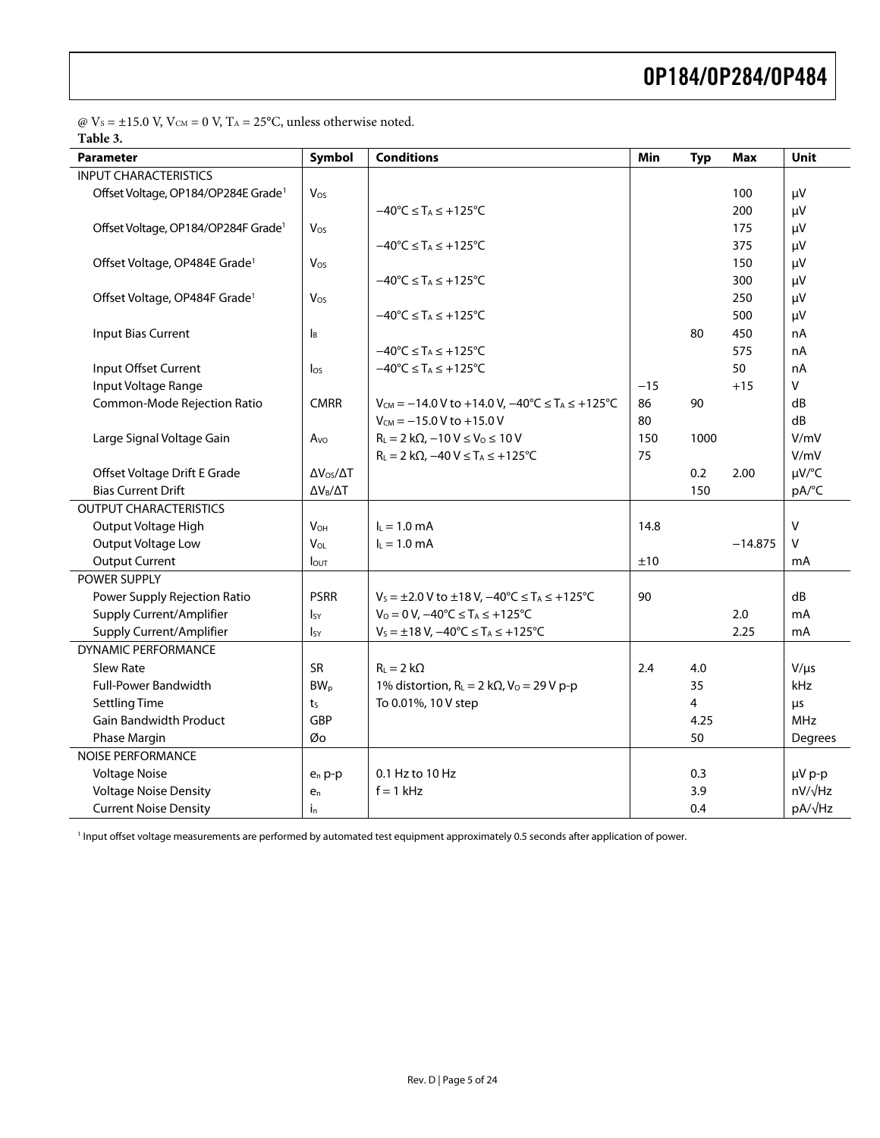$\textcircled{e}\;V_{\textsc{s}}=\pm 15.0$  V, V $_{\textsc{CM}}=0$  V, T $_{\textsc{A}}=25^{\circ}\text{C},$  unless otherwise noted. **Table 3.** 

<span id="page-4-0"></span>

| <b>Parameter</b>                                | Symbol                    | <b>Conditions</b>                                                             | Min   | <b>Typ</b> | <b>Max</b> | Unit           |
|-------------------------------------------------|---------------------------|-------------------------------------------------------------------------------|-------|------------|------------|----------------|
| <b>INPUT CHARACTERISTICS</b>                    |                           |                                                                               |       |            |            |                |
| Offset Voltage, OP184/OP284E Grade <sup>1</sup> | Vos                       |                                                                               |       |            | 100        | μV             |
|                                                 |                           | $-40^{\circ}$ C $\leq$ T <sub>A</sub> $\leq$ +125°C                           |       |            | 200        | μV             |
| Offset Voltage, OP184/OP284F Grade <sup>1</sup> | Vos                       |                                                                               |       |            | 175        | μV             |
|                                                 |                           | $-40^{\circ}$ C $\leq$ T <sub>A</sub> $\leq$ +125°C                           |       |            | 375        | μV             |
| Offset Voltage, OP484E Grade <sup>1</sup>       | Vos                       |                                                                               |       |            | 150        | μV             |
|                                                 |                           | $-40^{\circ}$ C $\leq$ T <sub>A</sub> $\leq$ +125 $^{\circ}$ C                |       |            | 300        | μV             |
| Offset Voltage, OP484F Grade <sup>1</sup>       | Vos                       |                                                                               |       |            | 250        | μV             |
|                                                 |                           | $-40^{\circ}C \leq T_A \leq +125^{\circ}C$                                    |       |            | 500        | μV             |
| Input Bias Current                              | $\mathsf{I}_{\mathsf{B}}$ |                                                                               |       | 80         | 450        | nA             |
|                                                 |                           | $-40^{\circ}C \leq T_A \leq +125^{\circ}C$                                    |       |            | 575        | nA             |
| Input Offset Current                            | $\log$                    | $-40^{\circ}C \leq T_A \leq +125^{\circ}C$                                    |       |            | 50         | nA             |
| Input Voltage Range                             |                           |                                                                               | $-15$ |            | $+15$      | $\vee$         |
| Common-Mode Rejection Ratio                     | <b>CMRR</b>               | $V_{CM} = -14.0 V$ to +14.0 V, $-40^{\circ}C \le T_A \le +125^{\circ}C$       | 86    | 90         |            | dB             |
|                                                 |                           | $V_{CM} = -15.0 V to +15.0 V$                                                 | 80    |            |            | dB             |
| Large Signal Voltage Gain                       | Avo                       | $R_L = 2 k\Omega$ , $-10 V \le V_0 \le 10 V$                                  | 150   | 1000       |            | V/mV           |
|                                                 |                           | $R_L = 2 k\Omega$ , $-40 V \leq T_A \leq +125°C$                              | 75    |            |            | V/mV           |
| Offset Voltage Drift E Grade                    | $\Delta V_{OS}/\Delta T$  |                                                                               |       | 0.2        | 2.00       | µV/°C          |
| <b>Bias Current Drift</b>                       | $\Delta V_B/\Delta T$     |                                                                               |       | 150        |            | pA/°C          |
| <b>OUTPUT CHARACTERISTICS</b>                   |                           |                                                                               |       |            |            |                |
| Output Voltage High                             | <b>V<sub>OH</sub></b>     | $I_L = 1.0$ mA                                                                | 14.8  |            |            | V              |
| Output Voltage Low                              | V <sub>OL</sub>           | $I_L = 1.0$ mA                                                                |       |            | $-14.875$  | $\vee$         |
| <b>Output Current</b>                           | lout                      |                                                                               | ±10   |            |            | mA             |
| POWER SUPPLY                                    |                           |                                                                               |       |            |            |                |
| Power Supply Rejection Ratio                    | <b>PSRR</b>               | $V_5 = \pm 2.0$ V to $\pm 18$ V, $-40^{\circ}$ C $\le T_A \le +125^{\circ}$ C | 90    |            |            | dB             |
| Supply Current/Amplifier                        | <sub>Isy</sub>            | $V_0 = 0 V$ , $-40^{\circ}C \le T_A \le +125^{\circ}C$                        |       |            | 2.0        | mA             |
| Supply Current/Amplifier                        | $I_{SY}$                  | $V_S = \pm 18 V$ , $-40^{\circ}C \le T_A \le +125^{\circ}C$                   |       |            | 2.25       | mA             |
| <b>DYNAMIC PERFORMANCE</b>                      |                           |                                                                               |       |            |            |                |
| <b>Slew Rate</b>                                | <b>SR</b>                 | $R_{L} = 2 k\Omega$                                                           | 2.4   | 4.0        |            | $V/\mu s$      |
| <b>Full-Power Bandwidth</b>                     | BW <sub>p</sub>           | 1% distortion, $R_L = 2 k\Omega$ , $V_0 = 29 V p-p$                           |       | 35         |            | kHz            |
| <b>Settling Time</b>                            | ts                        | To 0.01%, 10 V step                                                           |       | 4          |            | μs             |
| <b>Gain Bandwidth Product</b>                   | GBP                       |                                                                               |       | 4.25       |            | <b>MHz</b>     |
| Phase Margin                                    | Øo                        |                                                                               |       | 50         |            | Degrees        |
| <b>NOISE PERFORMANCE</b>                        |                           |                                                                               |       |            |            |                |
| <b>Voltage Noise</b>                            | $e_n p-p$                 | 0.1 Hz to 10 Hz                                                               |       | 0.3        |            | µV p-p         |
| <b>Voltage Noise Density</b>                    | $e_n$                     | $f = 1$ kHz                                                                   |       | 3.9        |            | $nV/\sqrt{Hz}$ |
| <b>Current Noise Density</b>                    | $i_{n}$                   |                                                                               |       | 0.4        |            | pA/√Hz         |

<span id="page-4-1"></span>1 Input offset voltage measurements are performed by automated test equipment approximately 0.5 seconds after application of power.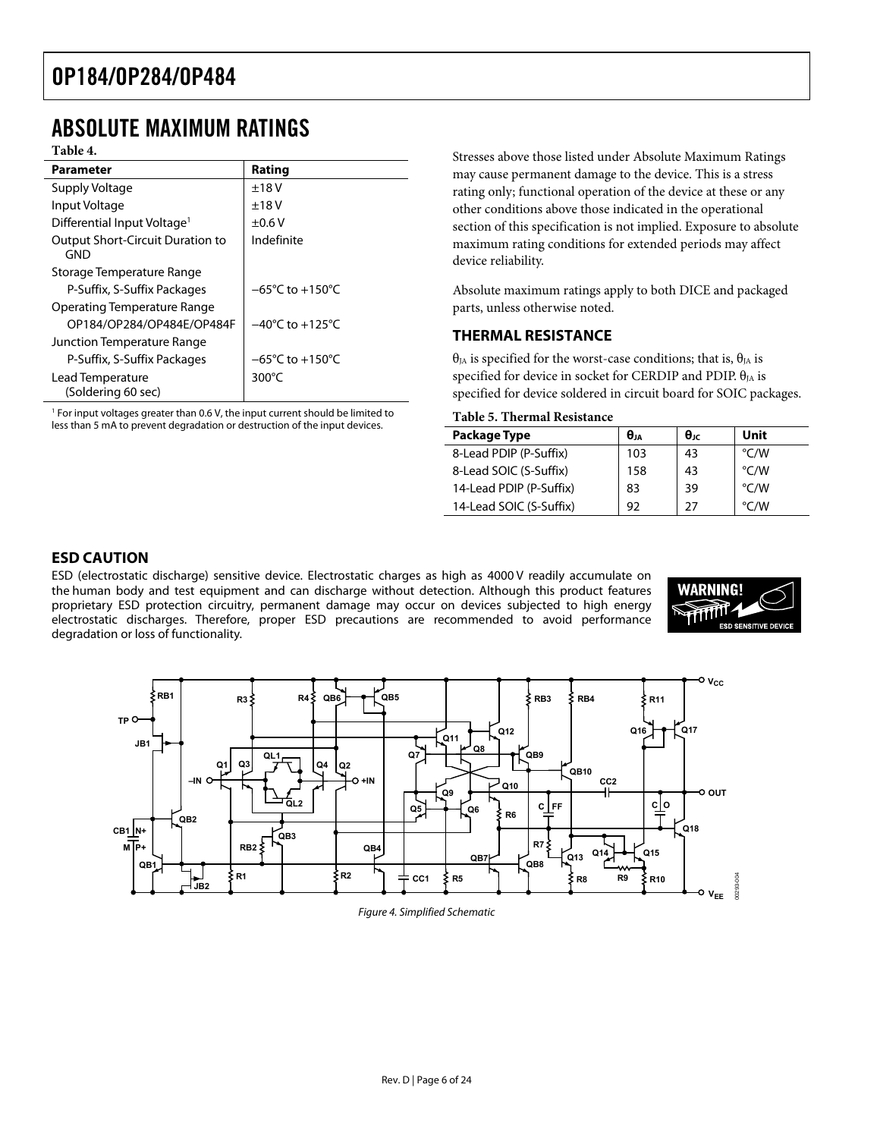### <span id="page-5-0"></span>ABSOLUTE MAXIMUM RATINGS

|                                                       |                                     | olitosto alittyt liitist lisitti tillitti / wollitti lyläkillittili Ivalli                                                          |  |  |  |  |  |
|-------------------------------------------------------|-------------------------------------|-------------------------------------------------------------------------------------------------------------------------------------|--|--|--|--|--|
| <b>Parameter</b>                                      | Rating                              | may cause permanent damage to the device. This is a stres                                                                           |  |  |  |  |  |
| Supply Voltage                                        | ±18V                                | rating only; functional operation of the device at these or a                                                                       |  |  |  |  |  |
| Input Voltage                                         | ±18V                                | other conditions above those indicated in the operational                                                                           |  |  |  |  |  |
| Differential Input Voltage <sup>1</sup>               | ±0.6V                               | section of this specification is not implied. Exposure to abs                                                                       |  |  |  |  |  |
| <b>Output Short-Circuit Duration to</b><br><b>GND</b> | Indefinite                          | maximum rating conditions for extended periods may affe<br>device reliability.                                                      |  |  |  |  |  |
| Storage Temperature Range                             |                                     |                                                                                                                                     |  |  |  |  |  |
| P-Suffix, S-Suffix Packages                           | $-65^{\circ}$ C to $+150^{\circ}$ C | Absolute maximum ratings apply to both DICE and packa                                                                               |  |  |  |  |  |
| <b>Operating Temperature Range</b>                    |                                     | parts, unless otherwise noted.                                                                                                      |  |  |  |  |  |
| OP184/OP284/OP484E/OP484F                             | $-40^{\circ}$ C to $+125^{\circ}$ C |                                                                                                                                     |  |  |  |  |  |
| Junction Temperature Range                            |                                     | <b>THERMAL RESISTANCE</b>                                                                                                           |  |  |  |  |  |
| P-Suffix, S-Suffix Packages                           | $-65^{\circ}$ C to $+150^{\circ}$ C | $\theta_{JA}$ is specified for the worst-case conditions; that is, $\theta_{JA}$ is                                                 |  |  |  |  |  |
| Lead Temperature<br>(Soldering 60 sec)                | $300^{\circ}$ C                     | specified for device in socket for CERDIP and PDIP. $\theta_{JA}$ is<br>specified for device soldered in circuit board for SOIC pac |  |  |  |  |  |
|                                                       |                                     |                                                                                                                                     |  |  |  |  |  |

 $1$  For input voltages greater than 0.6 V, the input current should be limited to less than 5 mA to prevent degradation or destruction of the input devices.

Table 4. **The Community of the Community Community Community** Stresses above those listed under Absolute Maximum Ratings may cause permanent damage to the device. This is a stress rating only; functional operation of the device at these or any other conditions above those indicated in the operational section of this specification is not implied. Exposure to absolute maximum rating conditions for extended periods may affect device reliability.

> Absolute maximum ratings apply to both DICE and packaged parts, unless otherwise noted.

#### **THERMAL RESISTANCE**

 $\theta_{IA}$  is specified for the worst-case conditions; that is,  $\theta_{IA}$  is specified for device soldered in circuit board for SOIC packages.

#### **Table 5. Thermal Resistance**

| Package Type            | $\theta_{1A}$ | $\theta_{\rm IC}$ | Unit          |
|-------------------------|---------------|-------------------|---------------|
| 8-Lead PDIP (P-Suffix)  | 103           | 43                | °C/W          |
| 8-Lead SOIC (S-Suffix)  | 158           | 43                | °C/W          |
| 14-Lead PDIP (P-Suffix) | 83            | 39                | °C/W          |
| 14-Lead SOIC (S-Suffix) | 92            | 27                | $\degree$ C/W |

#### **ESD CAUTION**

ESD (electrostatic discharge) sensitive device. Electrostatic charges as high as 4000 V readily accumulate on the human body and test equipment and can discharge without detection. Although this product features proprietary ESD protection circuitry, permanent damage may occur on devices subjected to high energy electrostatic discharges. Therefore, proper ESD precautions are recommended to avoid performance degradation or loss of functionality.





Figure 4. Simplified Schematic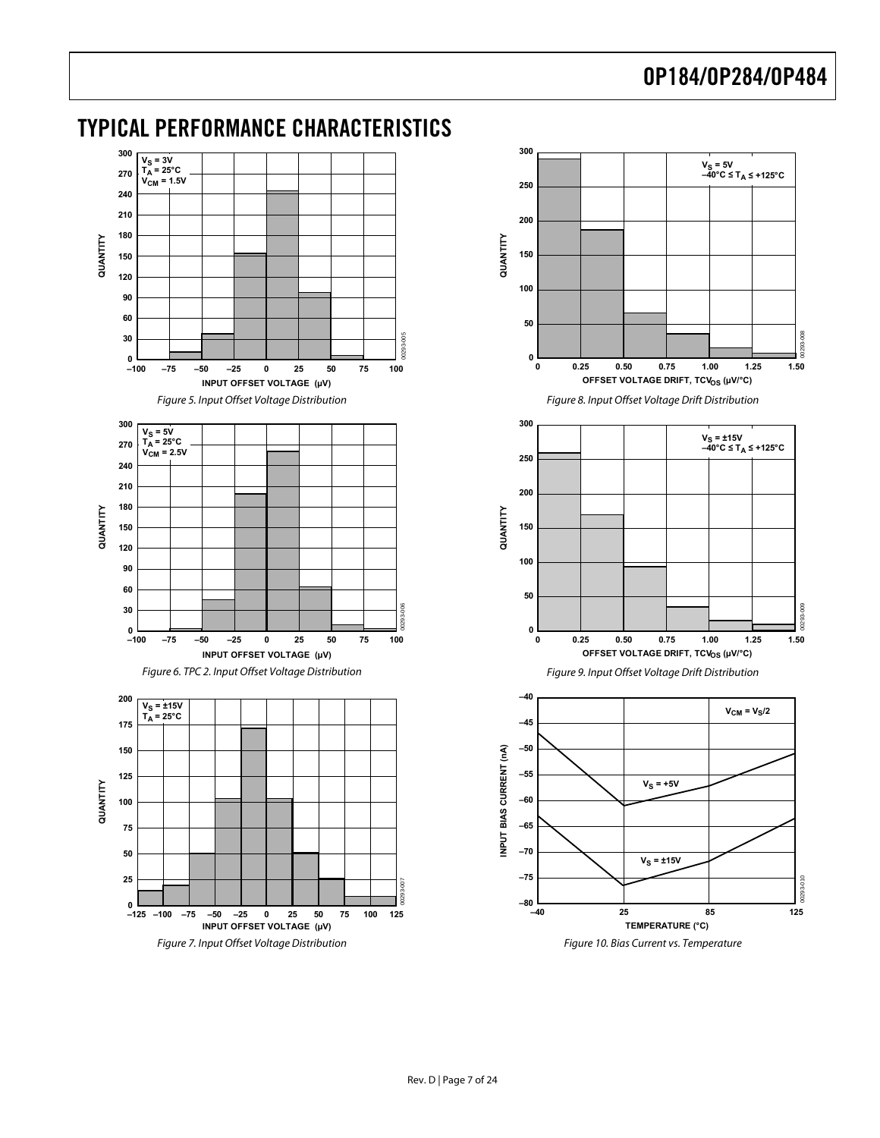<span id="page-6-1"></span>

### <span id="page-6-0"></span>TYPICAL PERFORMANCE CHARACTERISTICS

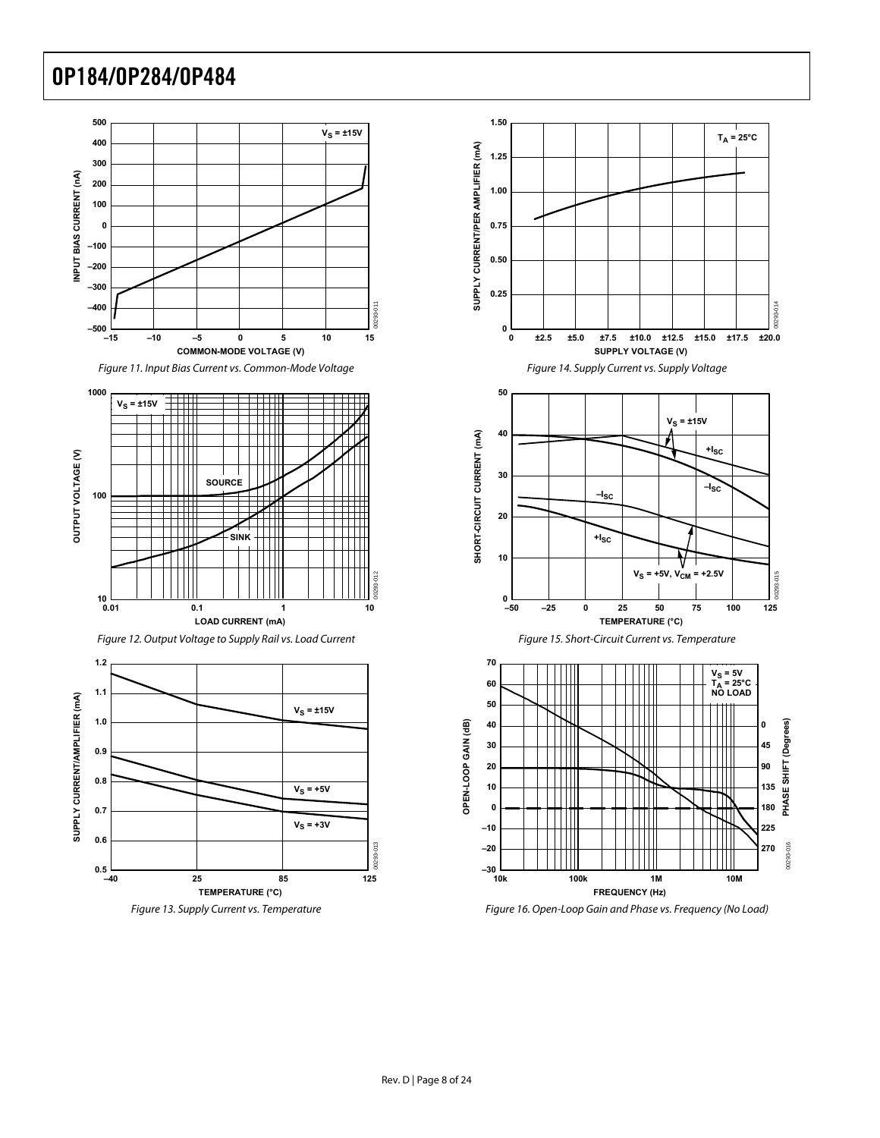





Figure 13. Supply Current vs. Temperature Figure 16. Open-Loop Gain and Phase vs. Frequency (No Load)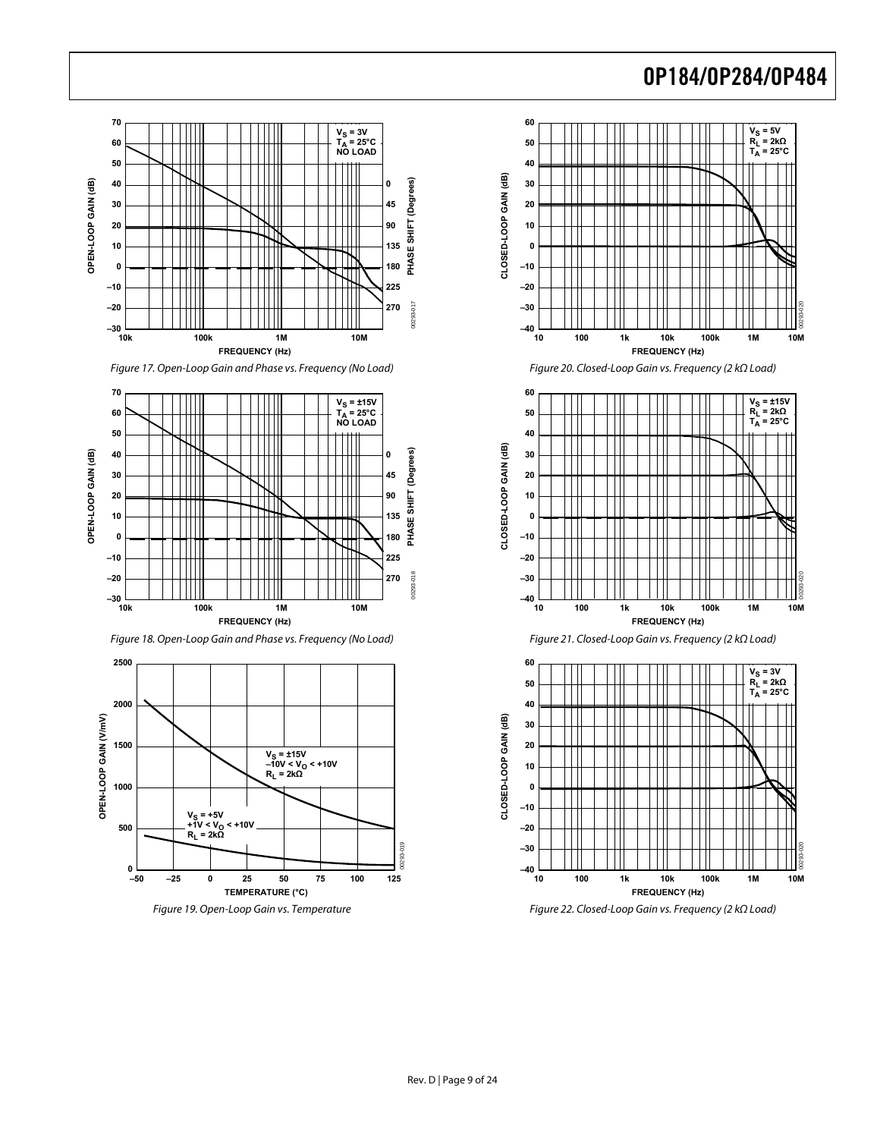

Figure 17. Open-Loop Gain and Phase vs. Frequency (No Load) Figure 20. Closed-Loop Gain vs. Frequency (2 kΩ Load)













Figure 19. Open-Loop Gain vs. Temperature Figure 22. Closed-Loop Gain vs. Frequency (2 kΩ Load)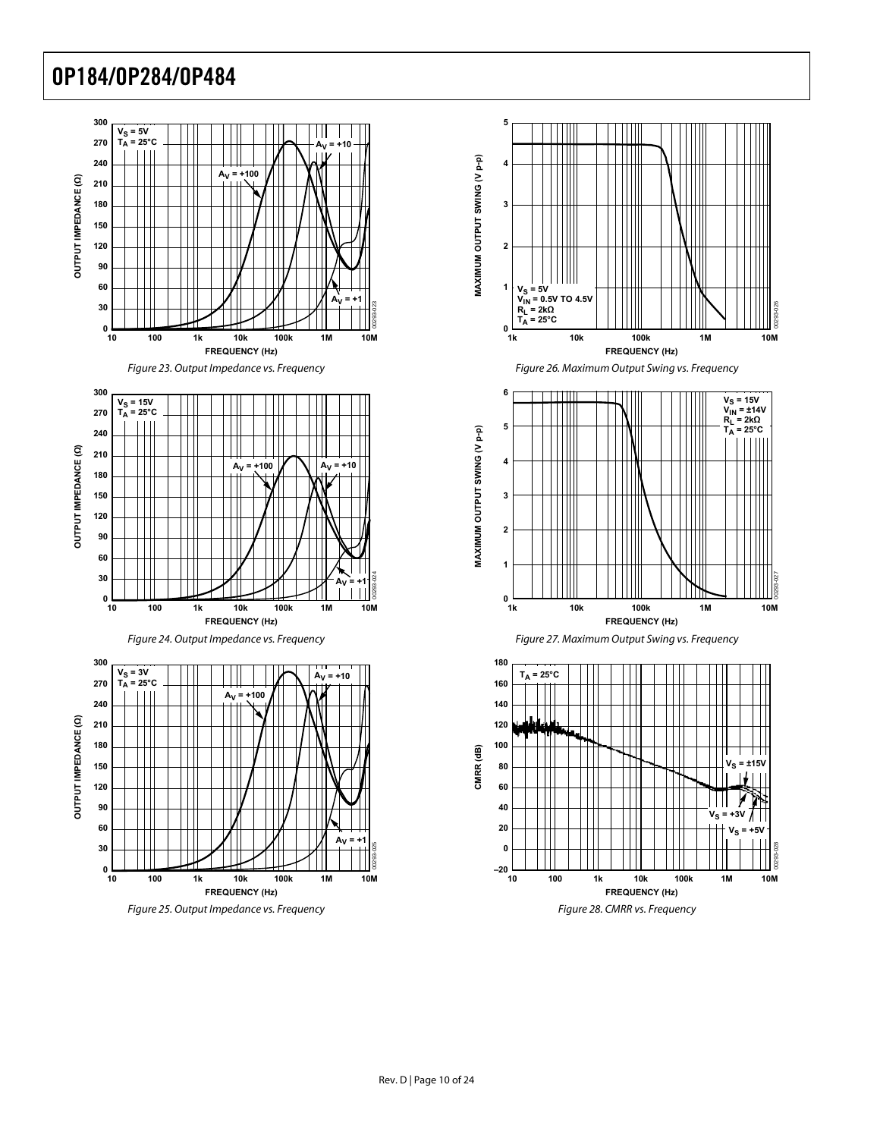

<span id="page-9-0"></span>









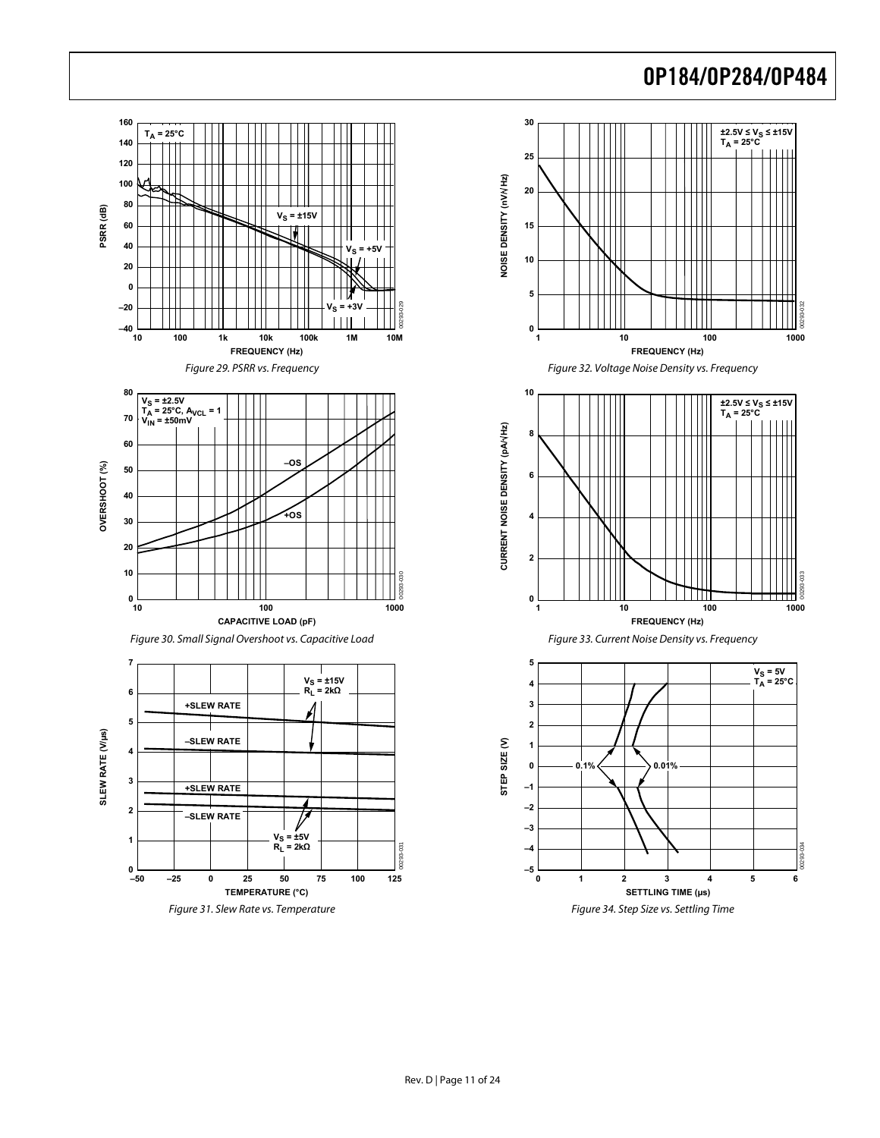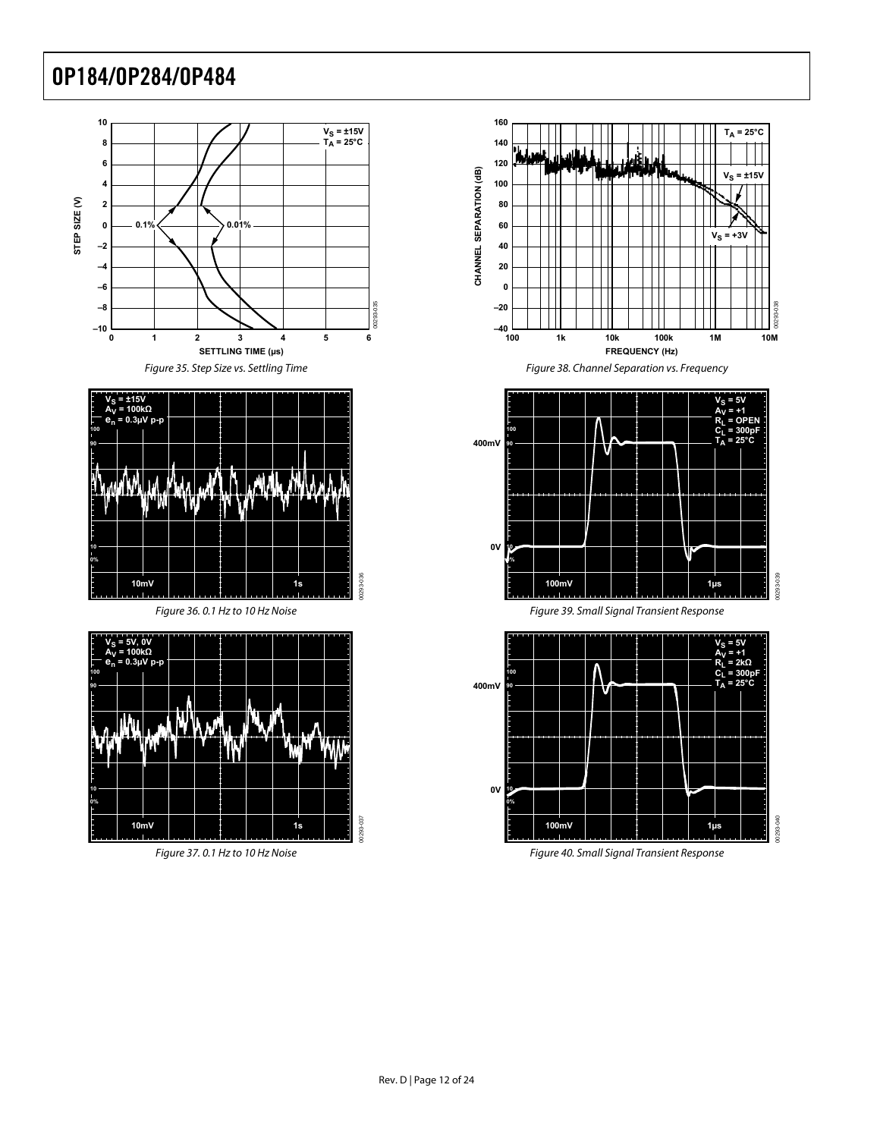



00293-036









Figure 37.0.1 Hz to 10 Hz Noise Figure 40. Small Signal Transient Response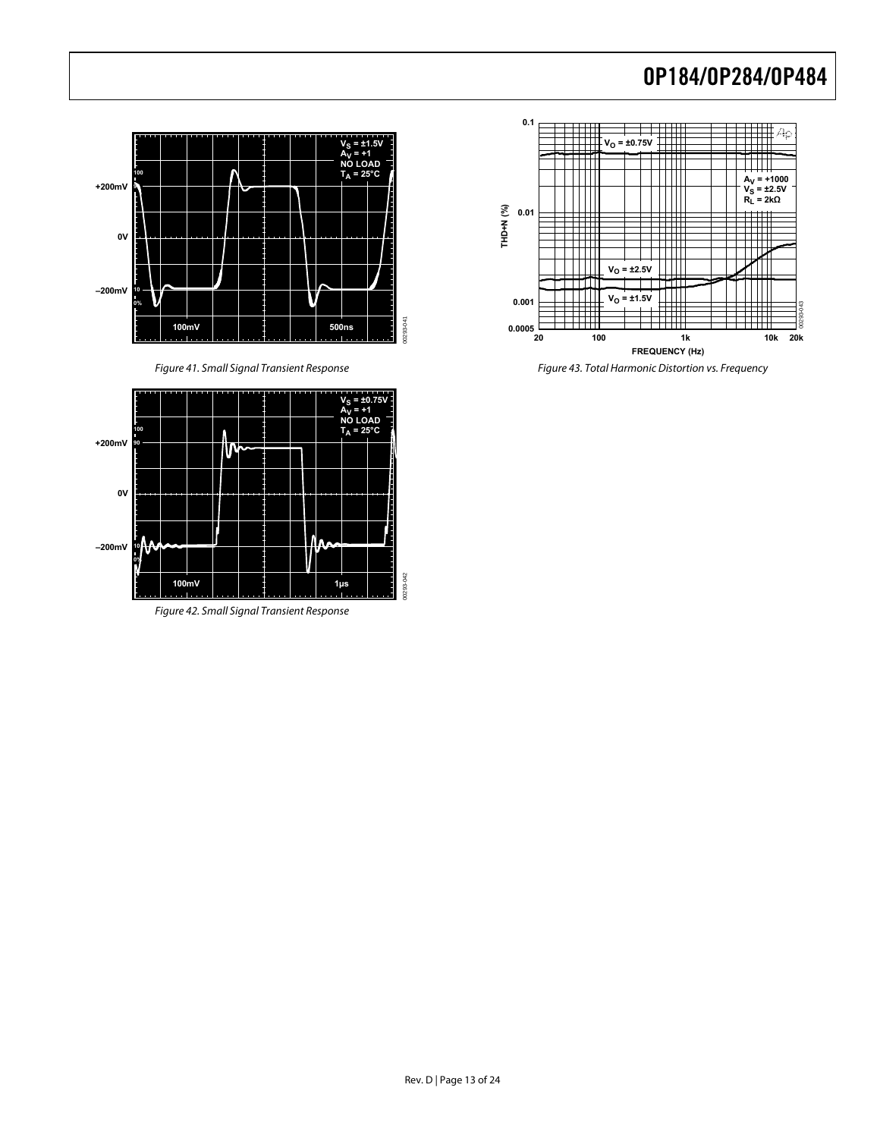



Figure 42. Small Signal Transient Response



Figure 41. Small Signal Transient Response Figure 43. Total Harmonic Distortion vs. Frequency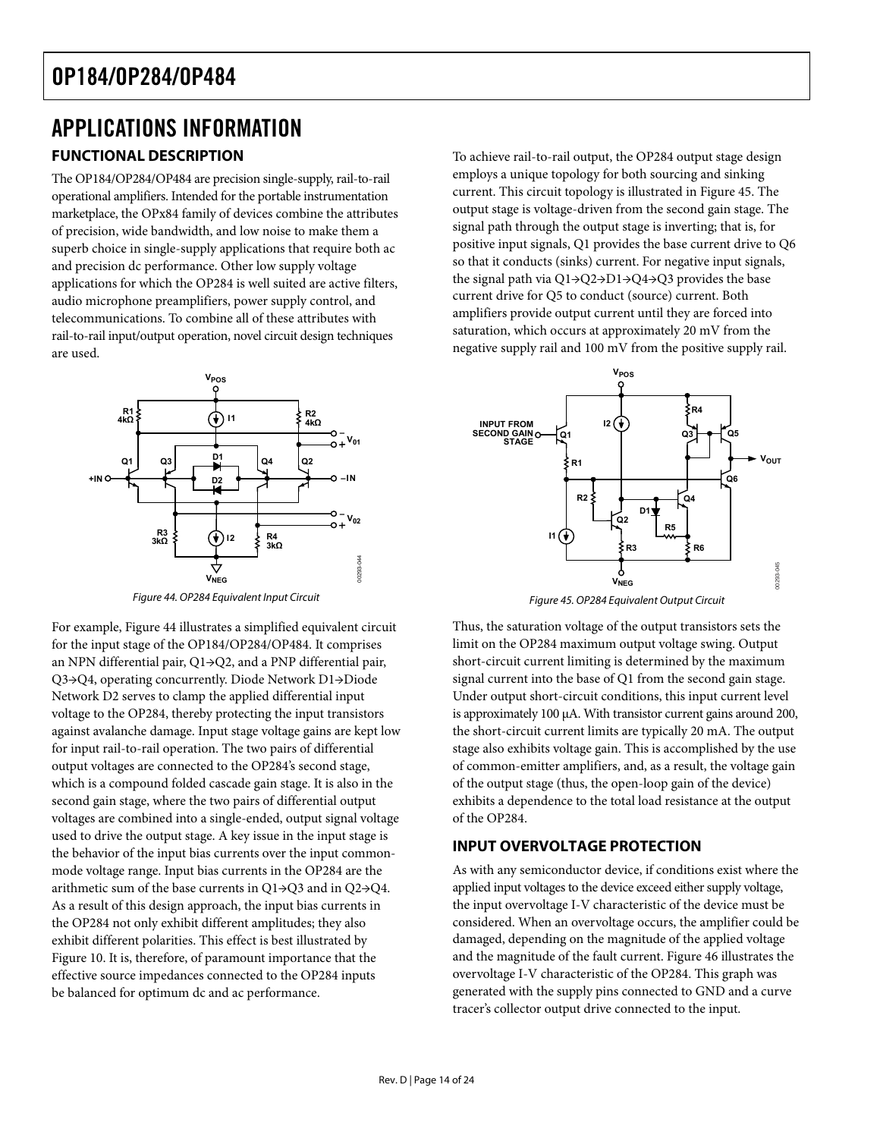# <span id="page-13-0"></span>APPLICATIONS INFORMATION

The OP184/OP284/OP484 are precision single-supply, rail-to-rail operational amplifiers. Intended for the portable instrumentation marketplace, the OPx84 family of devices combine the attributes of precision, wide bandwidth, and low noise to make them a superb choice in single-supply applications that require both ac and precision dc performance. Other low supply voltage applications for which the OP284 is well suited are active filters, audio microphone preamplifiers, power supply control, and telecommunications. To combine all of these attributes with rail-to-rail input/output operation, novel circuit design techniques are used.



Figure 44. OP284 Equivalent Input Circuit Figure 45. OP284 Equivalent Output Circuit

<span id="page-13-2"></span><span id="page-13-1"></span>For example, [Figure 44](#page-13-1) illustrates a simplified equivalent circuit for the input stage of the OP184/OP284/OP484. It comprises an NPN differential pair, Q1→Q2, and a PNP differential pair, Q3→Q4, operating concurrently. Diode Network D1→Diode Network D2 serves to clamp the applied differential input voltage to the OP284, thereby protecting the input transistors against avalanche damage. Input stage voltage gains are kept low for input rail-to-rail operation. The two pairs of differential output voltages are connected to the OP284's second stage, which is a compound folded cascade gain stage. It is also in the second gain stage, where the two pairs of differential output voltages are combined into a single-ended, output signal voltage used to drive the output stage. A key issue in the input stage is the behavior of the input bias currents over the input commonmode voltage range. Input bias currents in the OP284 are the arithmetic sum of the base currents in Q1→Q3 and in Q2→Q4. As a result of this design approach, the input bias currents in the OP284 not only exhibit different amplitudes; they also exhibit different polarities. This effect is best illustrated by [Figure 10](#page-6-1). It is, therefore, of paramount importance that the effective source impedances connected to the OP284 inputs be balanced for optimum dc and ac performance.

**FUNCTIONAL DESCRIPTION** To achieve rail-to-rail output, the OP284 output stage design employs a unique topology for both sourcing and sinking current. This circuit topology is illustrated in [Figure 45.](#page-13-2) The output stage is voltage-driven from the second gain stage. The signal path through the output stage is inverting; that is, for positive input signals, Q1 provides the base current drive to Q6 so that it conducts (sinks) current. For negative input signals, the signal path via Q1→Q2→D1→Q4→Q3 provides the base current drive for Q5 to conduct (source) current. Both amplifiers provide output current until they are forced into saturation, which occurs at approximately 20 mV from the negative supply rail and 100 mV from the positive supply rail.



Thus, the saturation voltage of the output transistors sets the limit on the OP284 maximum output voltage swing. Output short-circuit current limiting is determined by the maximum signal current into the base of Q1 from the second gain stage. Under output short-circuit conditions, this input current level is approximately 100 μA. With transistor current gains around 200, the short-circuit current limits are typically 20 mA. The output stage also exhibits voltage gain. This is accomplished by the use of common-emitter amplifiers, and, as a result, the voltage gain of the output stage (thus, the open-loop gain of the device) exhibits a dependence to the total load resistance at the output of the OP284.

### **INPUT OVERVOLTAGE PROTECTION**

As with any semiconductor device, if conditions exist where the applied input voltages to the device exceed either supply voltage, the input overvoltage I-V characteristic of the device must be considered. When an overvoltage occurs, the amplifier could be damaged, depending on the magnitude of the applied voltage and the magnitude of the fault current. [Figure 46](#page-14-1) illustrates the overvoltage I-V characteristic of the OP284. This graph was generated with the supply pins connected to GND and a curve tracer's collector output drive connected to the input.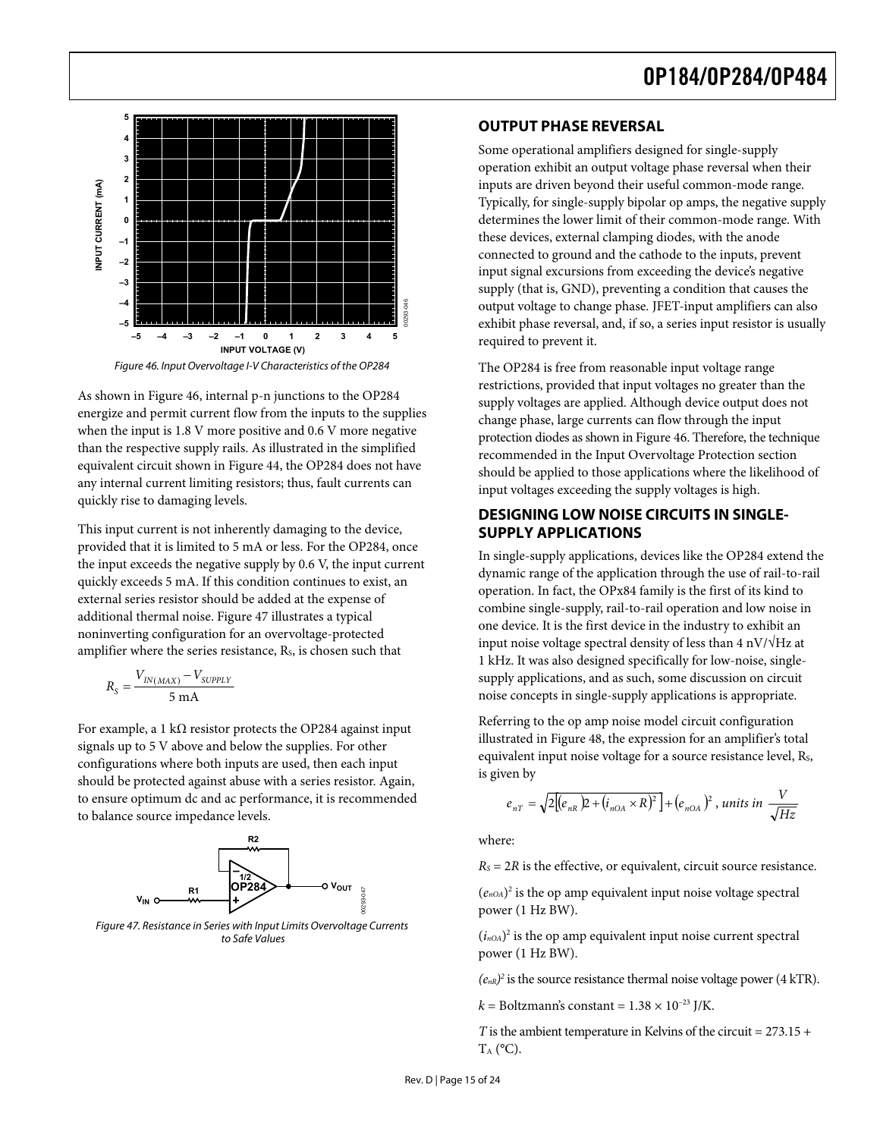<span id="page-14-0"></span>

Figure 46. Input Overvoltage I-V Characteristics of the OP284

<span id="page-14-1"></span>As shown in [Figure 46,](#page-14-1) internal p-n junctions to the OP284 energize and permit current flow from the inputs to the supplies when the input is 1.8 V more positive and 0.6 V more negative than the respective supply rails. As illustrated in the simplified equivalent circuit shown in [Figure 44](#page-13-1), the OP284 does not have any internal current limiting resistors; thus, fault currents can quickly rise to damaging levels.

This input current is not inherently damaging to the device,<br> **SUPPLY APPLICATIONS** provided that it is limited to 5 mA or less. For the OP284, once the input exceeds the negative supply by 0.6 V, the input current quickly exceeds 5 mA. If this condition continues to exist, an external series resistor should be added at the expense of additional thermal noise. [Figure 47](#page-14-2) illustrates a typical noninverting configuration for an overvoltage-protected amplifier where the series resistance,  $R<sub>s</sub>$ , is chosen such that

$$
R_{S} = \frac{V_{IN(MAX)} - V_{SUPPLY}}{5 \text{ mA}}
$$

For example, a 1 kΩ resistor protects the OP284 against input signals up to 5 V above and below the supplies. For other configurations where both inputs are used, then each input should be protected against abuse with a series resistor. Again, to ensure optimum dc and ac performance, it is recommended to balance source impedance levels.



<span id="page-14-2"></span>Figure 47. Resistance in Series with Input Limits Overvoltage Currents to Safe Values

### **OUTPUT PHASE REVERSAL**

Some operational amplifiers designed for single-supply operation exhibit an output voltage phase reversal when their inputs are driven beyond their useful common-mode range. Typically, for single-supply bipolar op amps, the negative supply determines the lower limit of their common-mode range. With these devices, external clamping diodes, with the anode connected to ground and the cathode to the inputs, prevent input signal excursions from exceeding the device's negative supply (that is, GND), preventing a condition that causes the output voltage to change phase. JFET-input amplifiers can also exhibit phase reversal, and, if so, a series input resistor is usually required to prevent it.

The OP284 is free from reasonable input voltage range restrictions, provided that input voltages no greater than the supply voltages are applied. Although device output does not change phase, large currents can flow through the input protection diodes as shown in [Figure 46](#page-14-1). Therefore, the technique recommended in the Input Overvoltage Protection section should be applied to those applications where the likelihood of input voltages exceeding the supply voltages is high.

# **DESIGNING LOW NOISE CIRCUITS IN SINGLE-**

Bestar and the restrained the restriction of  $\mathbf{R}$  or  $\mathbf{R}$  of  $\mathbf{R}$  of  $\mathbf{R}$  of  $\mathbf{R}$  of  $\mathbf{R}$  of  $\mathbf{R}$  of  $\mathbf{R}$  of  $\mathbf{R}$  of  $\mathbf{R}$  of  $\mathbf{R}$  or  $\mathbf{R}$  of  $\mathbf{R}$  of  $\mathbf{R}$  or  $\mathbf{R}$ In single-supply applications, devices like the OP284 extend the dynamic range of the application through the use of rail-to-rail operation. In fact, the OPx84 family is the first of its kind to combine single-supply, rail-to-rail operation and low noise in one device. It is the first device in the industry to exhibit an input noise voltage spectral density of less than  $4 \frac{\text{nV}}{\text{Hz}}$  at 1 kHz. It was also designed specifically for low-noise, singlesupply applications, and as such, some discussion on circuit noise concepts in single-supply applications is appropriate.

Referring to the op amp noise model circuit configuration illustrated in [Figure 48,](#page-15-1) the expression for an amplifier's total equivalent input noise voltage for a source resistance level, Rs, is given by

$$
e_{nT} = \sqrt{2\Big[(e_{nR})^2 + (i_{nOA} \times R)^2\Big]} + (e_{nOA})^2
$$
, units in  $\frac{V}{\sqrt{Hz}}$ 

where:

 $R<sub>S</sub> = 2R$  is the effective, or equivalent, circuit source resistance.

 $(e_{n\Omega A})^2$  is the op amp equivalent input noise voltage spectral power (1 Hz BW).

 $(i_{n<sub>OA</sub>})<sup>2</sup>$  is the op amp equivalent input noise current spectral power (1 Hz BW).

 $(e_{nR})^2$  is the source resistance thermal noise voltage power (4 kTR).

 $k =$  Boltzmann's constant =  $1.38 \times 10^{-23}$  J/K.

*T* is the ambient temperature in Kelvins of the circuit =  $273.15 +$  $T_A$  (°C).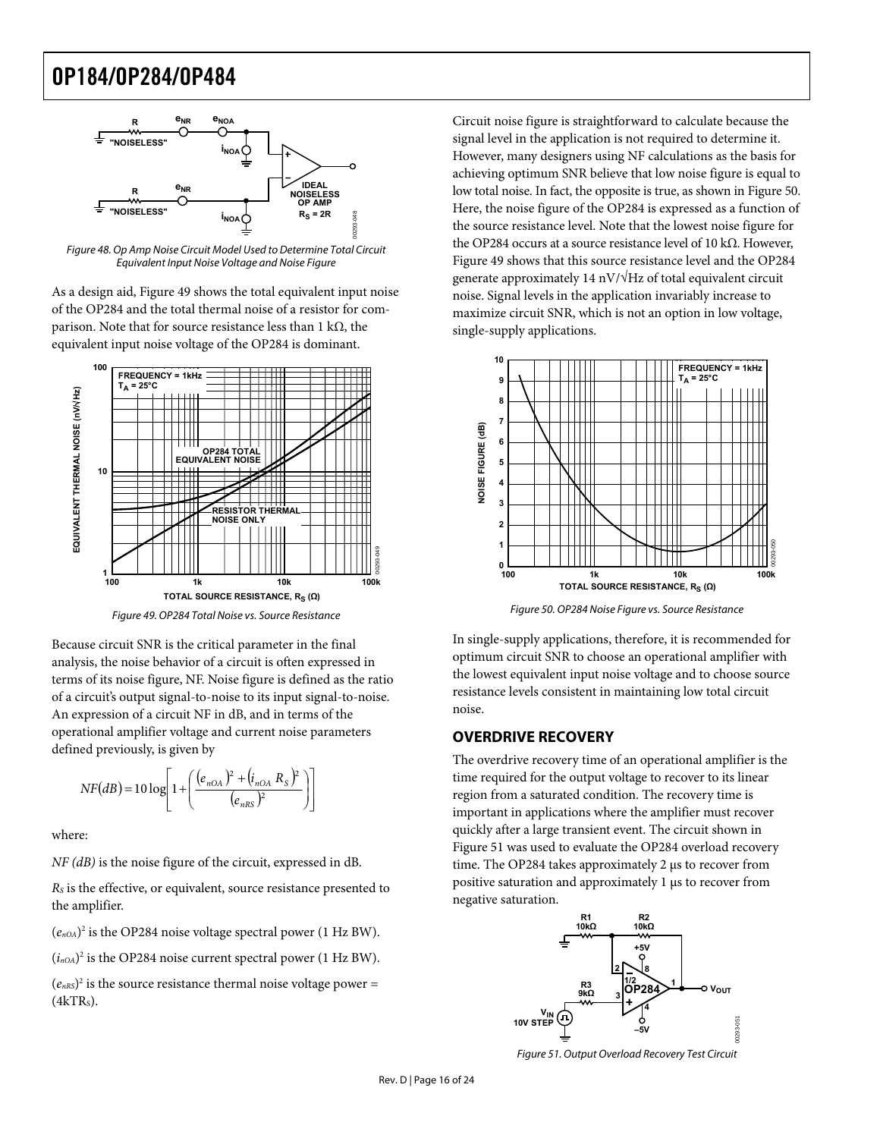

<span id="page-15-1"></span>As a design aid, [Figure 49](#page-15-2) shows the total equivalent input noise of the OP284 and the total thermal noise of a resistor for comparison. Note that for source resistance less than 1 kΩ, the equivalent input noise voltage of the OP284 is dominant.



<span id="page-15-3"></span><span id="page-15-2"></span>Because circuit SNR is the critical parameter in the final analysis, the noise behavior of a circuit is often expressed in terms of its noise figure, NF. Noise figure is defined as the ratio of a circuit's output signal-to-noise to its input signal-to-noise. An expression of a circuit NF in dB, and in terms of the operational amplifier voltage and current noise parameters defined previously, is given by

$$
NF(dB) = 10 \log \left[ 1 + \left( \frac{(e_{nOA})^2 + (i_{nOA} R_S)^2}{(e_{nRS})^2} \right) \right]
$$

where:

*NF (dB)* is the noise figure of the circuit, expressed in dB.

*RS* is the effective, or equivalent, source resistance presented to the amplifier.

 $(e_{n0A})^2$  is the OP284 noise voltage spectral power (1 Hz BW).

 $(i_{nOA})^2$  is the OP284 noise current spectral power (1 Hz BW).

<span id="page-15-4"></span> $(e<sub>nRS</sub>)<sup>2</sup>$  is the source resistance thermal noise voltage power =  $(4kTR<sub>s</sub>)$ .

<span id="page-15-0"></span>Circuit noise figure is straightforward to calculate because the signal level in the application is not required to determine it. However, many designers using NF calculations as the basis for achieving optimum SNR believe that low noise figure is equal to low total noise. In fact, the opposite is true, as shown in [Figure 50](#page-15-3). Here, the noise figure of the OP284 is expressed as a function of the source resistance level. Note that the lowest noise figure for the OP284 occurs at a source resistance level of 10 kΩ. However, Figure 48. Op Amp Noise Circuit Model Used to Determine Total Circuit Equivalent Input Noise Voltage and Noise Figure [Figure 49](#page-15-2) shows that this source resistance level and the OP284 generate approximately 14 nV/ $\sqrt{Hz}$  of total equivalent circuit noise. Signal levels in the application invariably increase to maximize circuit SNR, which is not an option in low voltage, single-supply applications.



Figure 50. OP284 Noise Figure vs. Source Resistance Figure 49. OP284 Total Noise vs. Source Resistance

In single-supply applications, therefore, it is recommended for optimum circuit SNR to choose an operational amplifier with the lowest equivalent input noise voltage and to choose source resistance levels consistent in maintaining low total circuit noise.

#### **OVERDRIVE RECOVERY**

The overdrive recovery time of an operational amplifier is the time required for the output voltage to recover to its linear region from a saturated condition. The recovery time is important in applications where the amplifier must recover quickly after a large transient event. The circuit shown in [Figure 51](#page-15-4) was used to evaluate the OP284 overload recovery time. The OP284 takes approximately 2 μs to recover from positive saturation and approximately 1 μs to recover from negative saturation.



Figure 51. Output Overload Recovery Test Circuit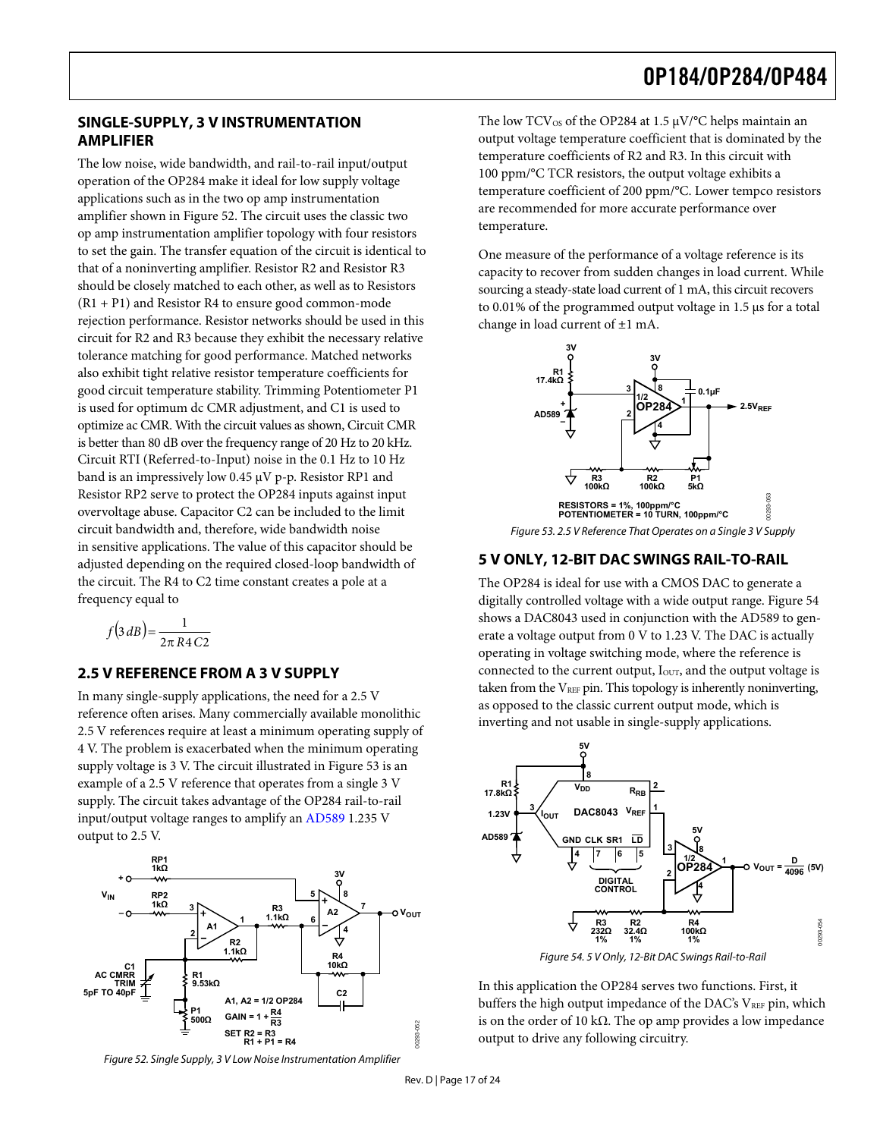#### <span id="page-16-0"></span>**SINGLE-SUPPLY, 3 V INSTRUMENTATION AMPLIFIER**

The low noise, wide bandwidth, and rail-to-rail input/output operation of the OP284 make it ideal for low supply voltage applications such as in the two op amp instrumentation amplifier shown in [Figure 52](#page-16-1). The circuit uses the classic two op amp instrumentation amplifier topology with four resistors to set the gain. The transfer equation of the circuit is identical to that of a noninverting amplifier. Resistor R2 and Resistor R3 should be closely matched to each other, as well as to Resistors  $(R1 + P1)$  and Resistor R4 to ensure good common-mode rejection performance. Resistor networks should be used in this circuit for R2 and R3 because they exhibit the necessary relative tolerance matching for good performance. Matched networks also exhibit tight relative resistor temperature coefficients for good circuit temperature stability. Trimming Potentiometer P1 is used for optimum dc CMR adjustment, and C1 is used to optimize ac CMR. With the circuit values as shown, Circuit CMR is better than 80 dB over the frequency range of 20 Hz to 20 kHz. Circuit RTI (Referred-to-Input) noise in the 0.1 Hz to 10 Hz band is an impressively low 0.45 μV p-p. Resistor RP1 and Resistor RP2 serve to protect the OP284 inputs against input overvoltage abuse. Capacitor C2 can be included to the limit circuit bandwidth and, therefore, wide bandwidth noise in sensitive applications. The value of this capacitor should be adjusted depending on the required closed-loop bandwidth of the circuit. The R4 to C2 time constant creates a pole at a frequency equal to

$$
f(3 dB) = \frac{1}{2\pi R4 C2}
$$

In many single-supply applications, the need for a 2.5 V reference often arises. Many commercially available monolithic 2.5 V references require at least a minimum operating supply of 4 V. The problem is exacerbated when the minimum operating supply voltage is 3 V. The circuit illustrated in [Figure 53](#page-16-2) is an example of a 2.5 V reference that operates from a single 3 V supply. The circuit takes advantage of the OP284 rail-to-rail input/output voltage ranges to amplify an [AD589](http://www.analog.com/en/prod/0%2C2877%2CAD589%2C00.html) 1.235 V output to 2.5 V.

<span id="page-16-3"></span>

<span id="page-16-1"></span>Figure 52. Single Supply, 3 V Low Noise Instrumentation Amplifier

The low  $TCV_{OS}$  of the OP284 at 1.5  $\mu V$ °C helps maintain an output voltage temperature coefficient that is dominated by the temperature coefficients of R2 and R3. In this circuit with 100 ppm/°C TCR resistors, the output voltage exhibits a temperature coefficient of 200 ppm/°C. Lower tempco resistors are recommended for more accurate performance over temperature.

One measure of the performance of a voltage reference is its capacity to recover from sudden changes in load current. While sourcing a steady-state load current of 1 mA, this circuit recovers to 0.01% of the programmed output voltage in 1.5 μs for a total change in load current of ±1 mA.



Figure 53. 2.5 V Reference That Operates on a Single 3 V Supply

#### **5 V ONLY, 12-BIT DAC SWINGS RAIL-TO-RAIL**

<span id="page-16-2"></span>The OP284 is ideal for use with a CMOS DAC to generate a digitally controlled voltage with a wide output range. [Figure 54](#page-16-3) shows a DAC8043 used in conjunction with the AD589 to generate a voltage output from 0 V to 1.23 V. The DAC is actually operating in voltage switching mode, where the reference is **2.5 V REFERENCE FROM A 3 V SUPPLY** connected to the current output, I<sub>ouT</sub>, and the output voltage is taken from the  $V_{REF}$  pin. This topology is inherently noninverting, as opposed to the classic current output mode, which is inverting and not usable in single-supply applications.



Figure 54. 5 V Only, 12-Bit DAC Swings Rail-to-Rail

In this application the OP284 serves two functions. First, it buffers the high output impedance of the DAC's VREF pin, which is on the order of 10 kΩ. The op amp provides a low impedance output to drive any following circuitry.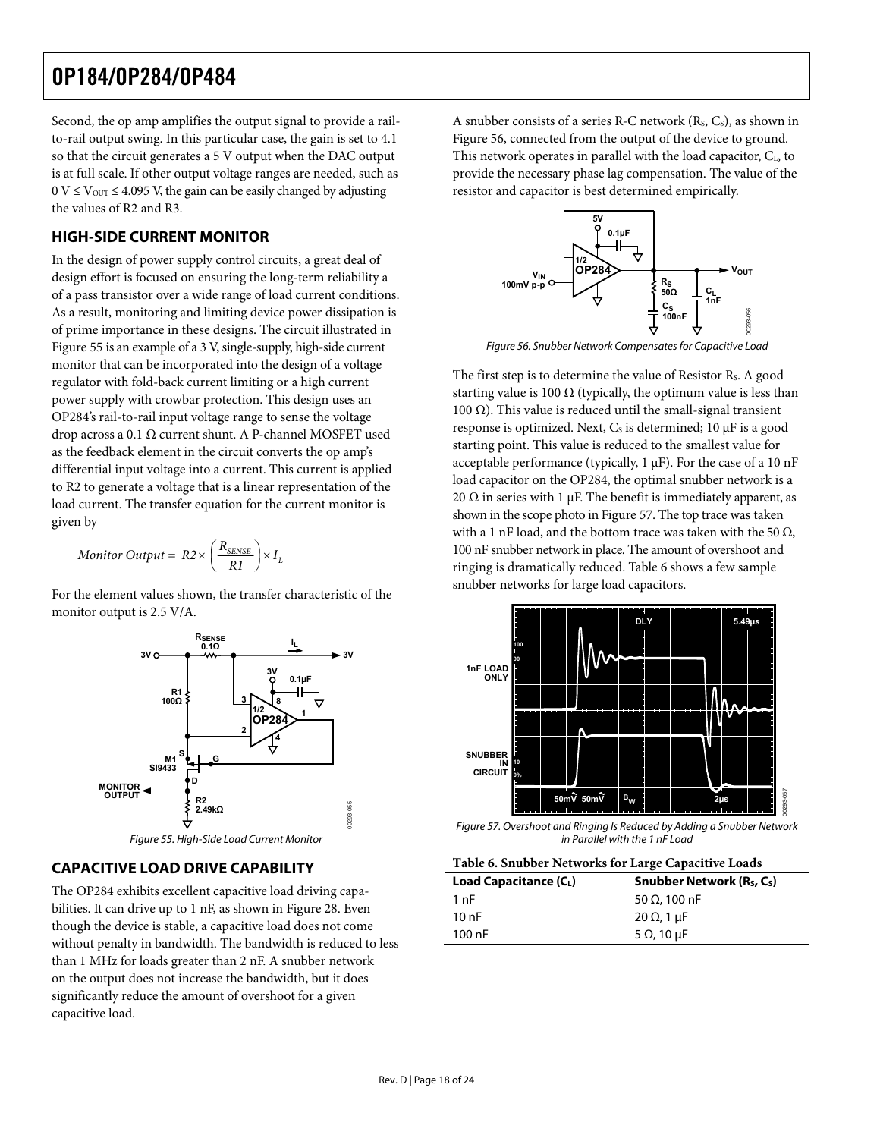<span id="page-17-0"></span>Second, the op amp amplifies the output signal to provide a railto-rail output swing. In this particular case, the gain is set to 4.1 so that the circuit generates a 5 V output when the DAC output is at full scale. If other output voltage ranges are needed, such as  $0 \text{ V} \leq \text{V}_{\text{OUT}} \leq 4.095 \text{ V}$ , the gain can be easily changed by adjusting resistor and capacitor is best determined empirically. the values of R2 and R3.

#### **HIGH-SIDE CURRENT MONITOR**

In the design of power supply control circuits, a great deal of design effort is focused on ensuring the long-term reliability a of a pass transistor over a wide range of load current conditions. As a result, monitoring and limiting device power dissipation is of prime importance in these designs. The circuit illustrated in [Figure 55](#page-17-1) is an example of a 3 V, single-supply, high-side current monitor that can be incorporated into the design of a voltage regulator with fold-back current limiting or a high current power supply with crowbar protection. This design uses an OP284's rail-to-rail input voltage range to sense the voltage drop across a 0.1 Ω current shunt. A P-channel MOSFET used as the feedback element in the circuit converts the op amp's differential input voltage into a current. This current is applied to R2 to generate a voltage that is a linear representation of the load current. The transfer equation for the current monitor is given by

$$
Monitor\ Output = R2 \times \left(\frac{R_{\text{SENSE}}}{R1}\right) \times I_L
$$

snubber networks for large load capacitors. For the element values shown, the transfer characteristic of the monitor output is 2.5 V/A.



### <span id="page-17-4"></span><span id="page-17-3"></span><span id="page-17-1"></span>**CAPACITIVE LOAD DRIVE CAPABILITY**

The OP284 exhibits excellent capacitive load driving capabilities. It can drive up to 1 nF, as shown in [Figure 28.](#page-9-0) Even though the device is stable, a capacitive load does not come without penalty in bandwidth. The bandwidth is reduced to less than 1 MHz for loads greater than 2 nF. A snubber network on the output does not increase the bandwidth, but it does significantly reduce the amount of overshoot for a given capacitive load.

A snubber consists of a series R-C network (Rs, Cs), as shown in [Figure 56](#page-17-2), connected from the output of the device to ground. This network operates in parallel with the load capacitor, C<sub>L</sub>, to provide the necessary phase lag compensation. The value of the



Figure 56. Snubber Network Compensates for Capacitive Load

<span id="page-17-2"></span>The first step is to determine the value of Resistor R<sub>s</sub>. A good starting value is 100  $\Omega$  (typically, the optimum value is less than 100 Ω). This value is reduced until the small-signal transient response is optimized. Next,  $C_s$  is determined; 10  $\mu$ F is a good starting point. This value is reduced to the smallest value for acceptable performance (typically, 1 μF). For the case of a 10 nF load capacitor on the OP284, the optimal snubber network is a 20  $\Omega$  in series with 1  $\mu$ F. The benefit is immediately apparent, as shown in the scope photo in [Figure 57](#page-17-3). The top trace was taken with a 1 nF load, and the bottom trace was taken with the 50  $\Omega$ , *Monitor Output* =  $R2 \times \left(\frac{R_{\text{SENSE}}}{R1}\right) \times I_L$  100 nF snubber network in place. The amount of overshoot and ringing is dramatically reduced. [Table 6](#page-17-4) shows a few sample ringing is dramatically reduced. Table 6 shows a few sample



Figure 57. Overshoot and Ringing Is Reduced by Adding a Snubber Network

| Load Capacitance (CL) | Snubber Network $(R_S, C_S)$ |  |
|-----------------------|------------------------------|--|
| 1 nF                  | 50 Ω, 100 nF                 |  |
| 10nF                  | 20 Ω, 1 μF                   |  |
| $100$ nF              | 5 $\Omega$ , 10 $\mu$ F      |  |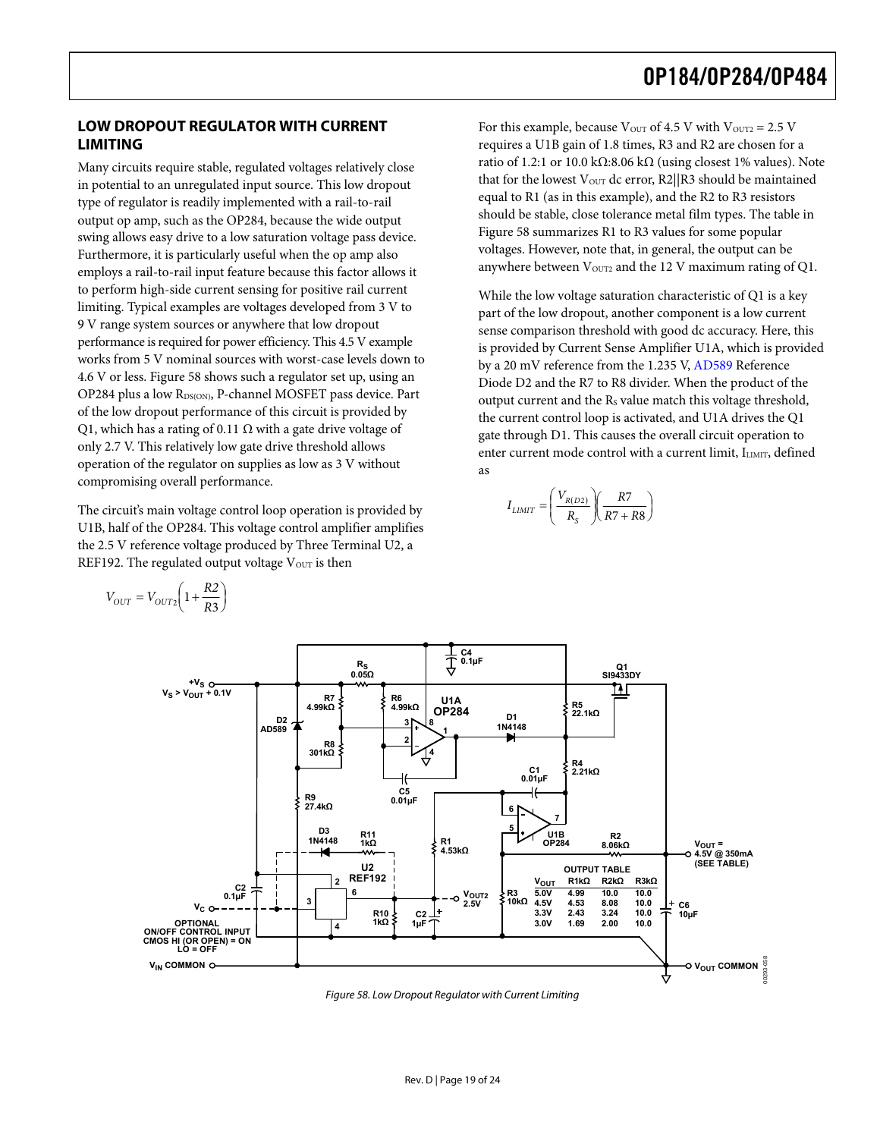#### <span id="page-18-0"></span>**LOW DROPOUT REGULATOR WITH CURRENT LIMITING**

Many circuits require stable, regulated voltages relatively close in potential to an unregulated input source. This low dropout type of regulator is readily implemented with a rail-to-rail output op amp, such as the OP284, because the wide output swing allows easy drive to a low saturation voltage pass device. Furthermore, it is particularly useful when the op amp also employs a rail-to-rail input feature because this factor allows it to perform high-side current sensing for positive rail current limiting. Typical examples are voltages developed from 3 V to 9 V range system sources or anywhere that low dropout performance is required for power efficiency. This 4.5 V example works from 5 V nominal sources with worst-case levels down to 4.6 V or less. [Figure 58](#page-18-1) shows such a regulator set up, using an OP284 plus a low RDS(ON), P-channel MOSFET pass device. Part of the low dropout performance of this circuit is provided by Q1, which has a rating of 0.11  $\Omega$  with a gate drive voltage of only 2.7 V. This relatively low gate drive threshold allows operation of the regulator on supplies as low as 3 V without compromising overall performance.

The circuit's main voltage control loop operation is provided by U1B, half of the OP284. This voltage control amplifier amplifies the 2.5 V reference voltage produced by Three Terminal U2, a REF192. The regulated output voltage  $V<sub>OUT</sub>$  is then

For this example, because  $V_{\text{OUT}}$  of 4.5 V with  $V_{\text{OUT2}} = 2.5$  V requires a U1B gain of 1.8 times, R3 and R2 are chosen for a ratio of 1.2:1 or 10.0 kΩ:8.06 kΩ (using closest 1% values). Note that for the lowest  $V_{\text{OUT}}$  dc error, R2||R3 should be maintained equal to R1 (as in this example), and the R2 to R3 resistors should be stable, close tolerance metal film types. The table in [Figure 58](#page-18-1) summarizes R1 to R3 values for some popular voltages. However, note that, in general, the output can be anywhere between  $V<sub>OUT2</sub>$  and the 12 V maximum rating of Q1.

While the low voltage saturation characteristic of Q1 is a key part of the low dropout, another component is a low current sense comparison threshold with good dc accuracy. Here, this is provided by Current Sense Amplifier U1A, which is provided by a 20 mV reference from the 1.235 V, [AD589](http://www.analog.com/en/prod/0%2C2877%2CAD589%2C00.html) Reference Diode D2 and the R7 to R8 divider. When the product of the output current and the R S value match this voltage threshold, the current control loop is activated, and U1A drives the Q1 gate through D1. This causes the overall circuit operation to enter current mode control with a current limit, ILIMIT, defined as

$$
I_{LIMIT}=\left(\frac{V_{R(D2)}}{R_S}\right)\left(\frac{R7}{R7+R8}\right)
$$



<span id="page-18-1"></span>Figure 58. Low Dropout Regulator with Current Limiting

 $=V_{OUT2}\left(1+\frac{R2}{R3}\right)$  $V_{OUT} = V_{OUT2} \left(1 + \frac{R2}{R3}\right)$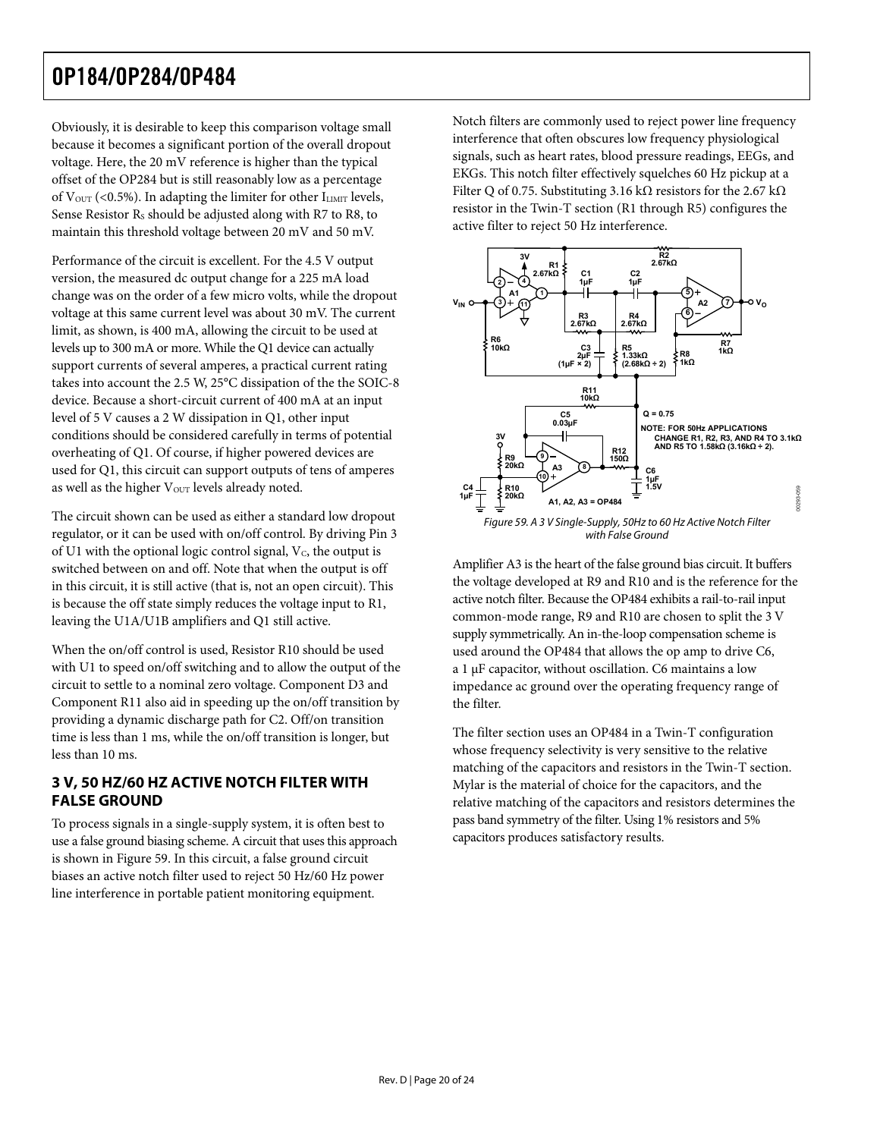<span id="page-19-0"></span>Obviously, it is desirable to keep this comparison voltage small because it becomes a significant portion of the overall dropout voltage. Here, the 20 mV reference is higher than the typical offset of the OP284 but is still reasonably low as a percentage of  $V_{\text{OUT}}$  (<0.5%). In adapting the limiter for other  $I_{\text{LIMIT}}$  levels, Sense Resistor Rs should be adjusted along with R7 to R8, to maintain this threshold voltage between 20 mV and 50 mV.

Performance of the circuit is excellent. For the 4.5 V output version, the measured dc output change for a 225 mA load change was on the order of a few micro volts, while the dropout voltage at this same current level was about 30 mV. The current limit, as shown, is 400 mA, allowing the circuit to be used at levels up to 300 mA or more. While the Q1 device can actually support currents of several amperes, a practical current rating takes into account the 2.5 W, 25°C dissipation of the the SOIC-8 device. Because a short-circuit current of 400 mA at an input level of 5 V causes a 2 W dissipation in Q1, other input conditions should be considered carefully in terms of potential overheating of Q1. Of course, if higher powered devices are used for Q1, this circuit can support outputs of tens of amperes as well as the higher V<sub>OUT</sub> levels already noted.

<span id="page-19-1"></span>The circuit shown can be used as either a standard low dropout regulator, or it can be used with on/off control. By driving Pin 3 of U1 with the optional logic control signal, V C, the output is switched between on and off. Note that when the output is off in this circuit, it is still active (that is, not an open circuit). This is because the off state simply reduces the voltage input to R1, leaving the U1A/U1B amplifiers and Q1 still active.

When the on/off control is used, Resistor R10 should be used with U1 to speed on/off switching and to allow the output of the circuit to settle to a nominal zero voltage. Component D3 and Component R11 also aid in speeding up the on/off transition by providing a dynamic discharge path for C2. Off/on transition time is less than 1 ms, while the on/off transition is longer, but less than 10 ms.

#### **3 V, 50 HZ/60 HZ ACTIVE NOTCH FILTER WITH FALSE GROUND**

To process signals in a single-supply system, it is often best to use a false ground biasing scheme. A circuit that uses this approach is shown in [Figure 59.](#page-19-1) In this circuit, a false ground circuit biases an active notch filter used to reject 50 Hz/60 Hz power line interference in portable patient monitoring equipment.

Notch filters are commonly used to reject power line frequency interference that often obscures low frequency physiological signals, such as heart rates, blood pressure readings, EEGs, and EKGs. This notch filter effectively squelches 60 Hz pickup at a Filter Q of 0.75. Substituting 3.16 kΩ resistors for the 2.67 kΩ resistor in the Twin-T section (R1 through R5) configures the active filter to reject 50 Hz interference.



Amplifier A3 is the heart of the false ground bias circuit. It buffers the voltage developed at R9 and R10 and is the reference for the active notch filter. Because the OP484 exhibits a rail-to-rail input common-mode range, R9 and R10 are chosen to split the 3 V supply symmetrically. An in-the-loop compensation scheme is used around the OP484 that allows the op amp to drive C6, a 1 μF capacitor, without oscillation. C6 maintains a low impedance ac ground over the operating frequency range of the filter.

The filter section uses an OP484 in a Twin-T configuration whose frequency selectivity is very sensitive to the relative matching of the capacitors and resistors in the Twin-T section. Mylar is the material of choice for the capacitors, and the relative matching of the capacitors and resistors determines the pass band symmetry of the filter. Using 1% resistors and 5% capacitors produces satisfactory results.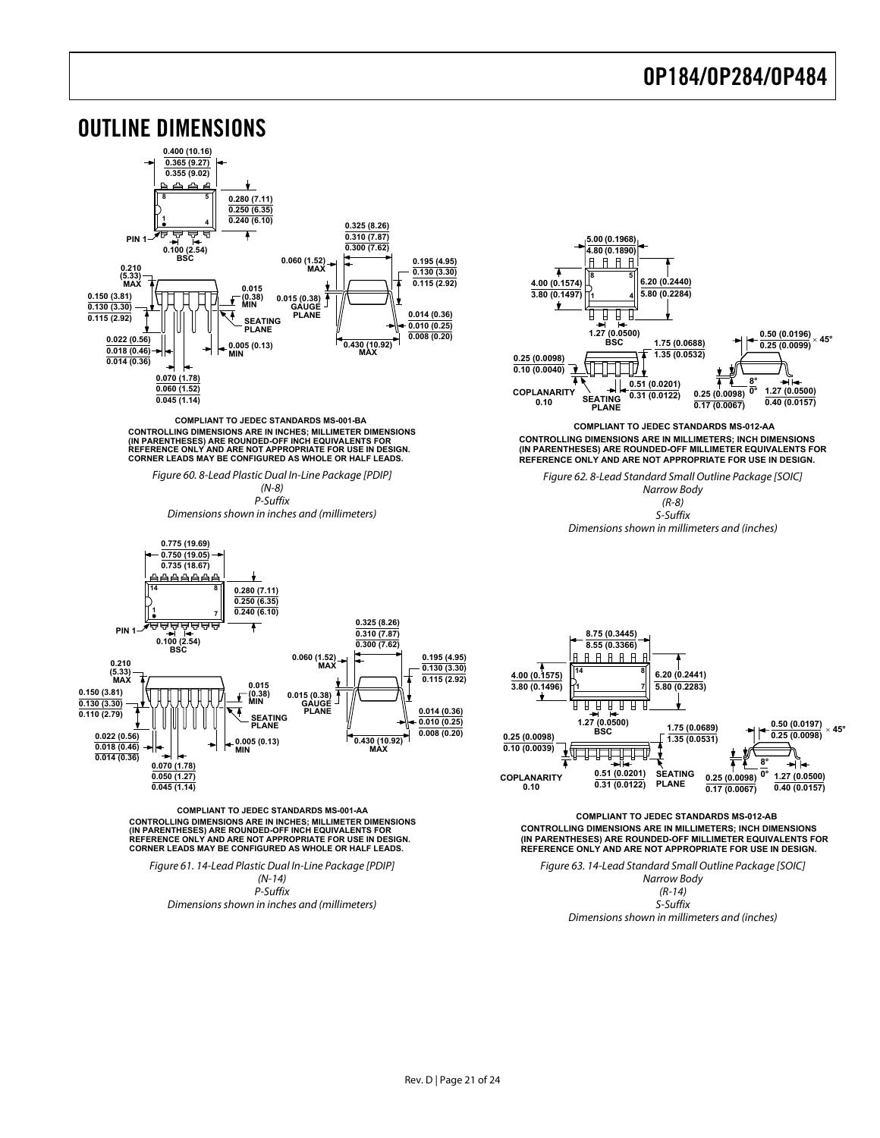<span id="page-20-0"></span>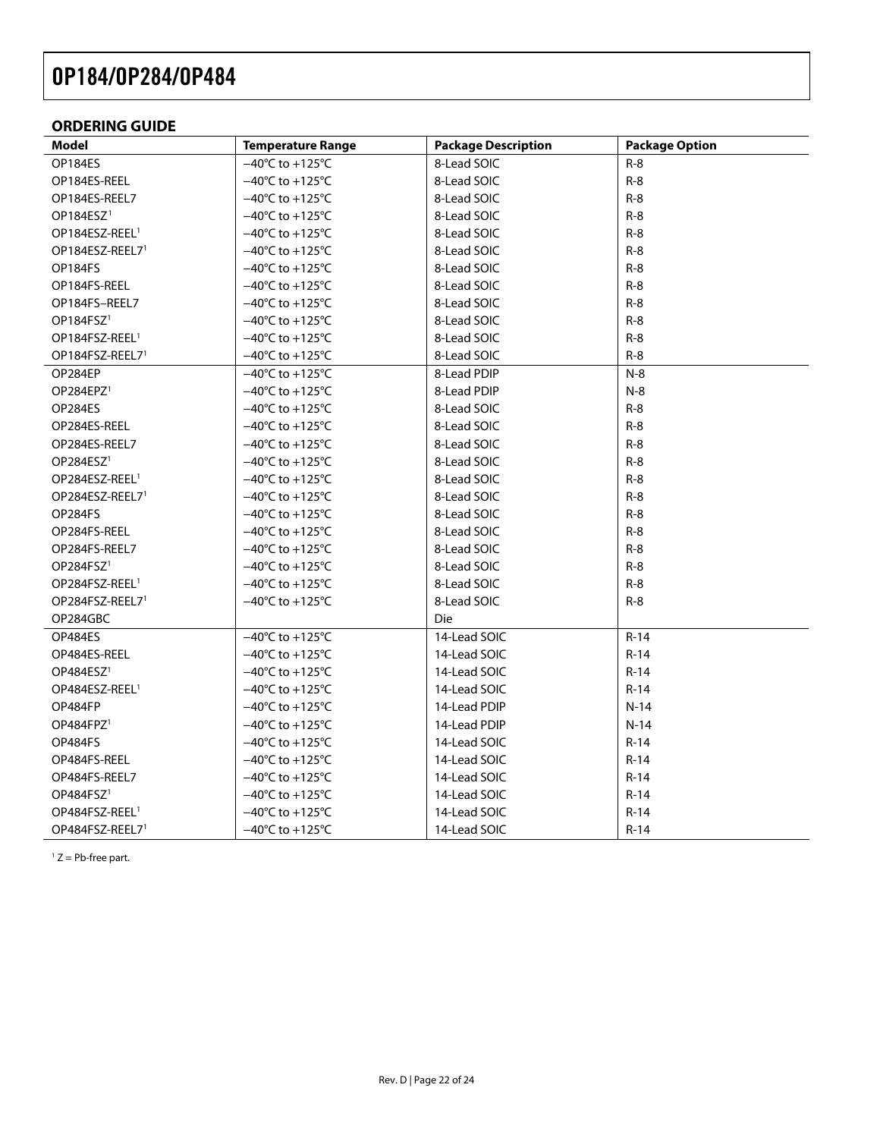#### <span id="page-21-0"></span>**ORDERING GUIDE**

| Model                       | <b>Temperature Range</b>             | <b>Package Description</b> | <b>Package Option</b> |
|-----------------------------|--------------------------------------|----------------------------|-----------------------|
| OP184ES                     | $-40^{\circ}$ C to +125 $^{\circ}$ C | 8-Lead SOIC                | $R-8$                 |
| OP184ES-REEL                | $-40^{\circ}$ C to $+125^{\circ}$ C  | 8-Lead SOIC                | $R-8$                 |
| OP184ES-REEL7               | $-40^{\circ}$ C to $+125^{\circ}$ C  | 8-Lead SOIC                | $R-8$                 |
| OP184ESZ <sup>1</sup>       | $-40^{\circ}$ C to $+125^{\circ}$ C  | 8-Lead SOIC                | $R-8$                 |
| OP184ESZ-REEL <sup>1</sup>  | $-40^{\circ}$ C to +125 $^{\circ}$ C | 8-Lead SOIC                | $R-8$                 |
| OP184ESZ-REEL7 <sup>1</sup> | $-40^{\circ}$ C to $+125^{\circ}$ C  | 8-Lead SOIC                | $R-8$                 |
| OP184FS                     | $-40^{\circ}$ C to +125 $^{\circ}$ C | 8-Lead SOIC                | $R-8$                 |
| OP184FS-REEL                | $-40^{\circ}$ C to +125 $^{\circ}$ C | 8-Lead SOIC                | $R-8$                 |
| OP184FS-REEL7               | $-40^{\circ}$ C to $+125^{\circ}$ C  | 8-Lead SOIC                | $R-8$                 |
| OP184FSZ <sup>1</sup>       | $-40^{\circ}$ C to +125 $^{\circ}$ C | 8-Lead SOIC                | $R-8$                 |
| OP184FSZ-REEL <sup>1</sup>  | $-40^{\circ}$ C to $+125^{\circ}$ C  | 8-Lead SOIC                | $R-8$                 |
| OP184FSZ-REEL7 <sup>1</sup> | $-40^{\circ}$ C to +125 $^{\circ}$ C | 8-Lead SOIC                | $R-8$                 |
| OP284EP                     | $-40^{\circ}$ C to $+125^{\circ}$ C  | 8-Lead PDIP                | $N-8$                 |
| OP284EPZ <sup>1</sup>       | $-40^{\circ}$ C to $+125^{\circ}$ C  | 8-Lead PDIP                | $N-8$                 |
| OP284ES                     | $-40^{\circ}$ C to +125 $^{\circ}$ C | 8-Lead SOIC                | $R-8$                 |
| OP284ES-REEL                | $-40^{\circ}$ C to +125 $^{\circ}$ C | 8-Lead SOIC                | $R-8$                 |
| OP284ES-REEL7               | $-40^{\circ}$ C to $+125^{\circ}$ C  | 8-Lead SOIC                | $R-8$                 |
| OP284ESZ <sup>1</sup>       | $-40^{\circ}$ C to +125 $^{\circ}$ C | 8-Lead SOIC                | $R-8$                 |
| OP284ESZ-REEL <sup>1</sup>  | $-40^{\circ}$ C to +125 $^{\circ}$ C | 8-Lead SOIC                | $R-8$                 |
| OP284ESZ-REEL7 <sup>1</sup> | $-40^{\circ}$ C to +125 $^{\circ}$ C | 8-Lead SOIC                | $R-8$                 |
| OP284FS                     | $-40^{\circ}$ C to $+125^{\circ}$ C  | 8-Lead SOIC                | $R-8$                 |
| OP284FS-REEL                | $-40^{\circ}$ C to $+125^{\circ}$ C  | 8-Lead SOIC                | $R-8$                 |
| OP284FS-REEL7               | $-40^{\circ}$ C to +125 $^{\circ}$ C | 8-Lead SOIC                | $R-8$                 |
| OP284FSZ <sup>1</sup>       | $-40^{\circ}$ C to $+125^{\circ}$ C  | 8-Lead SOIC                | $R-8$                 |
| OP284FSZ-REEL <sup>1</sup>  | $-40^{\circ}$ C to $+125^{\circ}$ C  | 8-Lead SOIC                | $R-8$                 |
| OP284FSZ-REEL7 <sup>1</sup> | $-40^{\circ}$ C to $+125^{\circ}$ C  | 8-Lead SOIC                | $R-8$                 |
| OP284GBC                    |                                      | Die                        |                       |
| OP484ES                     | $-40^{\circ}$ C to $+125^{\circ}$ C  | 14-Lead SOIC               | $R-14$                |
| OP484ES-REEL                | $-40^{\circ}$ C to +125 $^{\circ}$ C | 14-Lead SOIC               | $R-14$                |
| OP484ESZ <sup>1</sup>       | $-40^{\circ}$ C to +125 $^{\circ}$ C | 14-Lead SOIC               | $R-14$                |
| OP484ESZ-REEL <sup>1</sup>  | $-40^{\circ}$ C to +125 $^{\circ}$ C | 14-Lead SOIC               | $R-14$                |
| OP484FP                     | $-40^{\circ}$ C to $+125^{\circ}$ C  | 14-Lead PDIP               | $N-14$                |
| OP484FPZ <sup>1</sup>       | $-40^{\circ}$ C to +125 $^{\circ}$ C | 14-Lead PDIP               | $N-14$                |
| OP484FS                     | $-40^{\circ}$ C to +125 $^{\circ}$ C | 14-Lead SOIC               | R-14                  |
| OP484FS-REEL                | $-40^{\circ}$ C to +125 $^{\circ}$ C | 14-Lead SOIC               | $R-14$                |
| OP484FS-REEL7               | $-40^{\circ}$ C to $+125^{\circ}$ C  | 14-Lead SOIC               | R-14                  |
| OP484FSZ <sup>1</sup>       | $-40^{\circ}$ C to +125 $^{\circ}$ C | 14-Lead SOIC               | $R-14$                |
| OP484FSZ-REEL <sup>1</sup>  | $-40^{\circ}$ C to $+125^{\circ}$ C  | 14-Lead SOIC               | $R-14$                |
| OP484FSZ-REEL7 <sup>1</sup> | $-40^{\circ}$ C to $+125^{\circ}$ C  | 14-Lead SOIC               | $R-14$                |

<span id="page-21-1"></span> $1 Z = Pb$ -free part.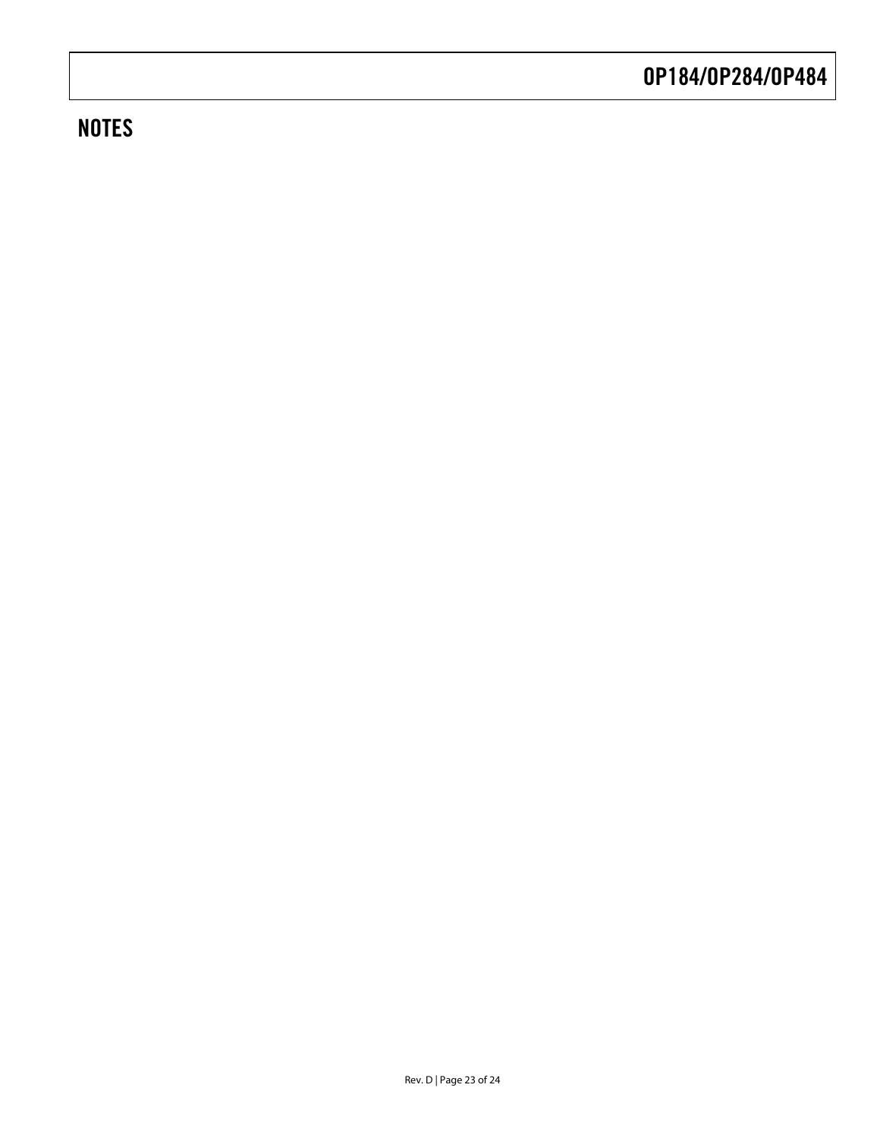### **NOTES**